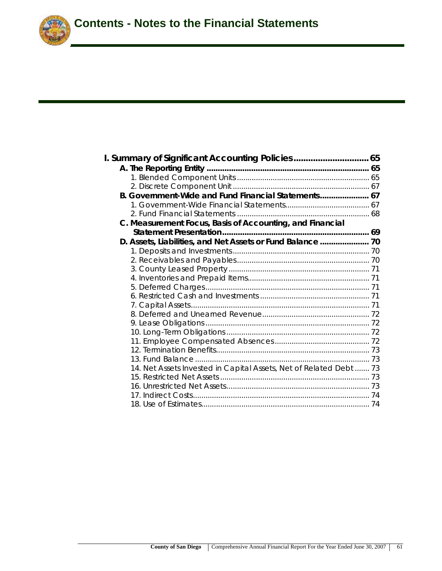

| I. Summary of Significant Accounting Policies 65                   |  |
|--------------------------------------------------------------------|--|
|                                                                    |  |
|                                                                    |  |
|                                                                    |  |
| B. Government-Wide and Fund Financial Statements 67                |  |
|                                                                    |  |
|                                                                    |  |
| C. Measurement Focus, Basis of Accounting, and Financial           |  |
|                                                                    |  |
|                                                                    |  |
|                                                                    |  |
|                                                                    |  |
|                                                                    |  |
|                                                                    |  |
|                                                                    |  |
|                                                                    |  |
|                                                                    |  |
|                                                                    |  |
|                                                                    |  |
|                                                                    |  |
|                                                                    |  |
|                                                                    |  |
|                                                                    |  |
| 14. Net Assets Invested in Capital Assets, Net of Related Debt  73 |  |
|                                                                    |  |
|                                                                    |  |
|                                                                    |  |
|                                                                    |  |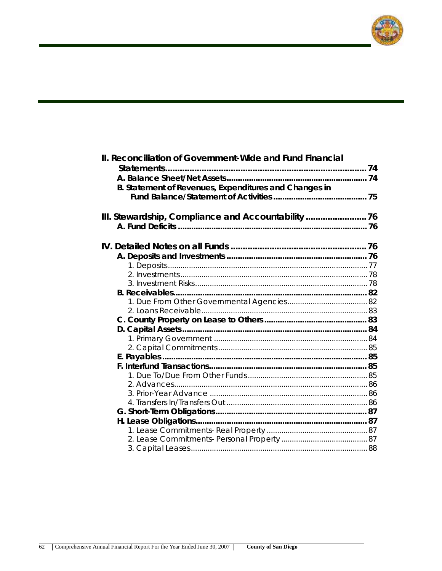

| II. Reconciliation of Government-Wide and Fund Financial |  |
|----------------------------------------------------------|--|
|                                                          |  |
|                                                          |  |
| B. Statement of Revenues, Expenditures and Changes in    |  |
|                                                          |  |
|                                                          |  |
| III. Stewardship, Compliance and Accountability 76       |  |
|                                                          |  |
|                                                          |  |
|                                                          |  |
|                                                          |  |
|                                                          |  |
|                                                          |  |
|                                                          |  |
|                                                          |  |
|                                                          |  |
|                                                          |  |
|                                                          |  |
|                                                          |  |
|                                                          |  |
|                                                          |  |
|                                                          |  |
|                                                          |  |
|                                                          |  |
|                                                          |  |
|                                                          |  |
|                                                          |  |
|                                                          |  |
|                                                          |  |
|                                                          |  |
|                                                          |  |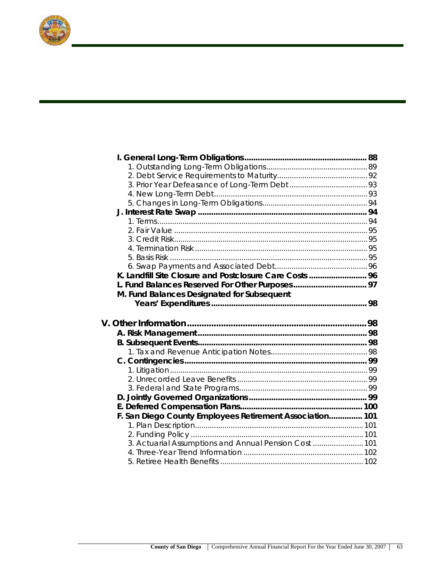

| K. Landfill Site Closure and Postclosure Care Costs  96  |  |
|----------------------------------------------------------|--|
|                                                          |  |
| M. Fund Balances Designated for Subsequent               |  |
|                                                          |  |
|                                                          |  |
|                                                          |  |
|                                                          |  |
|                                                          |  |
|                                                          |  |
|                                                          |  |
|                                                          |  |
|                                                          |  |
|                                                          |  |
|                                                          |  |
|                                                          |  |
|                                                          |  |
|                                                          |  |
| F. San Diego County Employees Retirement Association 101 |  |
|                                                          |  |
|                                                          |  |
| 3. Actuarial Assumptions and Annual Pension Cost  101    |  |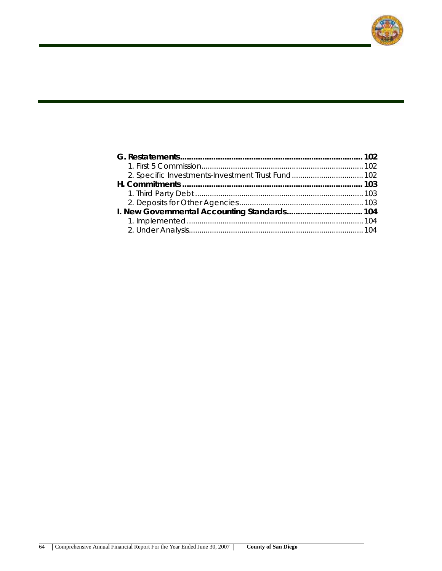

| 2. Specific Investments-Investment Trust Fund 102 |  |
|---------------------------------------------------|--|
|                                                   |  |
|                                                   |  |
|                                                   |  |
|                                                   |  |
|                                                   |  |
|                                                   |  |
|                                                   |  |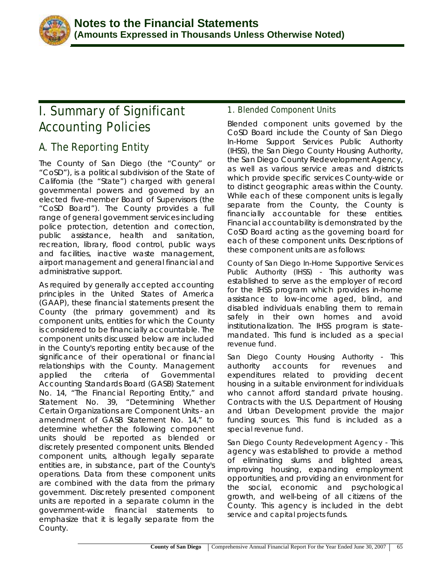

# **I. Summary of Significant Accounting Policies**

## **A. The Reporting Entity**

The County of San Diego (the "County" or "CoSD"), is a political subdivision of the State of California (the "State") charged with general governmental powers and governed by an elected five-member Board of Supervisors (the "CoSD Board"). The County provides a full range of general government services including police protection, detention and correction, public assistance, health and sanitation, recreation, library, flood control, public ways and facilities, inactive waste management, airport management and general financial and administrative support.

As required by generally accepted accounting principles in the United States of America (GAAP), these financial statements present the County (the primary government) and its component units, entities for which the County is considered to be financially accountable. The component units discussed below are included in the County's reporting entity because of the significance of their operational or financial relationships with the County. Management applied the criteria of Governmental Accounting Standards Board (GASB) Statement No. 14, "The Financial Reporting Entity," and Statement No. 39, "Determining Whether Certain Organizations are Component Units - an amendment of GASB Statement No. 14," to determine whether the following component units should be reported as blended or discretely presented component units. Blended component units, although legally separate entities are, in substance, part of the County's operations. Data from these component units are combined with the data from the primary government. Discretely presented component units are reported in a separate column in the government-wide financial statements to emphasize that it is legally separate from the County.

## **1. Blended Component Units**

Blended component units governed by the CoSD Board include the County of San Diego In-Home Support Services Public Authority (IHSS), the San Diego County Housing Authority, the San Diego County Redevelopment Agency, as well as various service areas and districts which provide specific services County-wide or to distinct geographic areas within the County. While each of these component units is legally separate from the County, the County is financially accountable for these entities. Financial accountability is demonstrated by the CoSD Board acting as the governing board for each of these component units. Descriptions of these component units are as follows:

*County of San Diego In-Home Supportive Services Public Authority (IHSS)* - This authority was established to serve as the employer of record for the IHSS program which provides in-home assistance to low-income aged, blind, and disabled individuals enabling them to remain safely in their own homes and avoid institutionalization. The IHSS program is statemandated. This fund is included as a *special revenue fund.* 

*San Diego County Housing Authority* - This authority accounts for revenues and expenditures related to providing decent housing in a suitable environment for individuals who cannot afford standard private housing. Contracts with the U.S. Department of Housing and Urban Development provide the major funding sources. This fund is included as a *special revenue fund*.

*San Diego County Redevelopment Agency* - This agency was established to provide a method of eliminating slums and blighted areas, improving housing, expanding employment opportunities, and providing an environment for the social, economic and psychological growth, and well-being of all citizens of the County. This agency is included in the *debt service and capital projects funds*.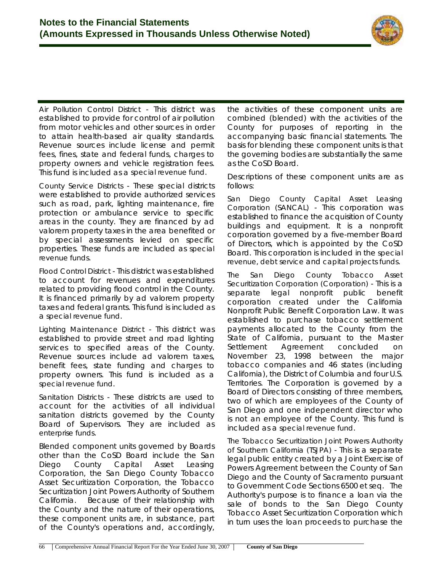

*Air Pollution Control District* - This district was established to provide for control of air pollution from motor vehicles and other sources in order to attain health-based air quality standards. Revenue sources include license and permit fees, fines, state and federal funds, charges to property owners and vehicle registration fees. This fund is included as a *special revenue fund*.

*County Service Districts* - These special districts were established to provide authorized services such as road, park, lighting maintenance, fire protection or ambulance service to specific areas in the county. They are financed by ad valorem property taxes in the area benefited or by special assessments levied on specific properties. These funds are included as *special revenue funds*.

*Flood Control District* - This district was established to account for revenues and expenditures related to providing flood control in the County. It is financed primarily by ad valorem property taxes and federal grants. This fund is included as a *special revenue fund*.

*Lighting Maintenance District* - This district was established to provide street and road lighting services to specified areas of the County. Revenue sources include ad valorem taxes, benefit fees, state funding and charges to property owners. This fund is included as a *special revenue fund*.

*Sanitation Districts* - These districts are used to account for the activities of all individual sanitation districts governed by the County Board of Supervisors. They are included as *enterprise funds*.

Blended component units governed by Boards other than the CoSD Board include the San Diego County Capital Asset Leasing Corporation, the San Diego County Tobacco Asset Securitization Corporation, the Tobacco Securitization Joint Powers Authority of Southern California. Because of their relationship with the County and the nature of their operations, these component units are, in substance, part of the County's operations and, accordingly,

the activities of these component units are combined (blended) with the activities of the County for purposes of reporting in the accompanying basic financial statements. The basis for blending these component units is that the governing bodies are substantially the same as the CoSD Board.

Descriptions of these component units are as follows:

*San Diego County Capital Asset Leasing Corporation (SANCAL)* - This corporation was established to finance the acquisition of County buildings and equipment. It is a nonprofit corporation governed by a five-member Board of Directors, which is appointed by the CoSD Board. This corporation is included in the *special revenue, debt service* and *capital projects funds*.

*The San Diego County Tobacco Asset Securitization Corporation (Corporation)* - This is a separate legal nonprofit public benefit corporation created under the California Nonprofit Public Benefit Corporation Law. It was established to purchase tobacco settlement payments allocated to the County from the State of California, pursuant to the Master Settlement Agreement concluded on November 23, 1998 between the major tobacco companies and 46 states (including California), the District of Columbia and four U.S. Territories. The Corporation is governed by a Board of Directors consisting of three members, two of which are employees of the County of San Diego and one independent director who is not an employee of the County. This fund is included as a *special revenue fund*.

*The Tobacco Securitization Joint Powers Authority of Southern California (TSJPA)* - This is a separate legal public entity created by a Joint Exercise of Powers Agreement between the County of San Diego and the County of Sacramento pursuant to Government Code Sections 6500 et seq. The Authority's purpose is to finance a loan via the sale of bonds to the San Diego County Tobacco Asset Securitization Corporation which in turn uses the loan proceeds to purchase the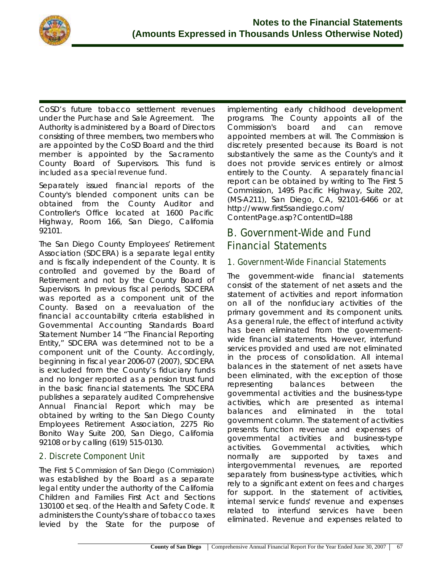

CoSD's future tobacco settlement revenues under the Purchase and Sale Agreement. The Authority is administered by a Board of Directors consisting of three members, two members who are appointed by the CoSD Board and the third member is appointed by the Sacramento County Board of Supervisors. This fund is included as a *special revenue fund*.

Separately issued financial reports of the County's blended component units can be obtained from the County Auditor and Controller's Office located at 1600 Pacific Highway, Room 166, San Diego, California 92101.

The San Diego County Employees' Retirement Association (SDCERA) is a separate legal entity and is fiscally independent of the County. It is controlled and governed by the Board of Retirement and not by the County Board of Supervisors. In previous fiscal periods, SDCERA was reported as a component unit of the County. Based on a reevaluation of the financial accountability criteria established in Governmental Accounting Standards Board Statement Number 14 "The Financial Reporting Entity," SDCERA was determined not to be a component unit of the County. Accordingly, beginning in fiscal year 2006-07 (2007), SDCERA is excluded from the County's fiduciary funds and no longer reported as a pension trust fund in the basic financial statements. The SDCERA publishes a separately audited Comprehensive Annual Financial Report which may be obtained by writing to the San Diego County Employees Retirement Association, 2275 Rio Bonito Way Suite 200, San Diego, California 92108 or by calling (619) 515-0130.

## **2. Discrete Component Unit**

The *First 5 Commission of San Diego (Commission)* was established by the Board as a separate legal entity under the authority of the California Children and Families First Act and Sections 130100 et seq. of the Health and Safety Code. It administers the County's share of tobacco taxes levied by the State for the purpose of implementing early childhood development programs. The County appoints all of the Commission's board and can remove appointed members at will. The Commission is discretely presented because its Board is not substantively the same as the County's and it does not provide services entirely or almost entirely to the County. A separately financial report can be obtained by writing to The First 5 Commission, 1495 Pacific Highway, Suite 202, (MS-A211), San Diego, CA, 92101-6466 or at http://www.first5sandiego.com/ ContentPage.asp?ContentID=188

## **B. Government-Wide and Fund Financial Statements**

## **1. Government-Wide Financial Statements**

The government-wide financial statements consist of the statement of net assets and the statement of activities and report information on all of the nonfiduciary activities of the primary government and its component units. As a general rule, the effect of interfund activity has been eliminated from the governmentwide financial statements. However, interfund services provided and used are not eliminated in the process of consolidation. All internal balances in the statement of net assets have been eliminated, with the exception of those representing balances between the governmental activities and the business-type activities, which are presented as internal balances and eliminated in the total government column. The statement of activities presents function revenue and expenses of governmental activities and business-type activities. Governmental activities, which normally are supported by taxes and intergovernmental revenues, are reported separately from business-type activities, which rely to a significant extent on fees and charges for support. In the statement of activities, internal service funds' revenue and expenses related to interfund services have been eliminated. Revenue and expenses related to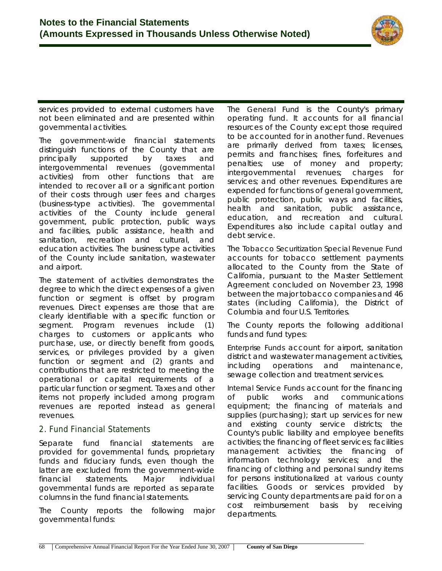

services provided to external customers have not been eliminated and are presented within governmental activities.

The government-wide financial statements distinguish functions of the County that are principally supported by taxes and intergovernmental revenues (governmental activities) from other functions that are intended to recover all or a significant portion of their costs through user fees and charges (business-type activities). The governmental activities of the County include general government, public protection, public ways and facilities, public assistance, health and sanitation, recreation and cultural, and education activities. The business type activities of the County include sanitation, wastewater and airport.

The statement of activities demonstrates the degree to which the direct expenses of a given function or segment is offset by program revenues. Direct expenses are those that are clearly identifiable with a specific function or segment. Program revenues include (1) charges to customers or applicants who purchase, use, or directly benefit from goods, services, or privileges provided by a given function or segment and (2) grants and contributions that are restricted to meeting the operational or capital requirements of a particular function or segment. Taxes and other items not properly included among program revenues are reported instead as general revenues.

### **2. Fund Financial Statements**

Separate fund financial statements are provided for governmental funds, proprietary funds and fiduciary funds, even though the latter are excluded from the government-wide financial statements. Major individual governmental funds are reported as separate columns in the fund financial statements.

The County reports the following major governmental funds:

The *General Fund* is the County's primary operating fund. It accounts for all financial resources of the County except those required to be accounted for in another fund. Revenues are primarily derived from taxes; licenses, permits and franchises; fines, forfeitures and penalties; use of money and property; intergovernmental revenues; charges for services; and other revenues. Expenditures are expended for functions of general government, public protection, public ways and facilities, health and sanitation, public assistance, education, and recreation and cultural. Expenditures also include capital outlay and debt service.

The *Tobacco Securitization Special Revenue Fund* accounts for tobacco settlement payments allocated to the County from the State of California, pursuant to the Master Settlement Agreement concluded on November 23, 1998 between the major tobacco companies and 46 states (including California), the District of Columbia and four U.S. Territories.

The County reports the following additional funds and fund types:

*Enterprise Funds* account for airport, sanitation district and wastewater management activities, including operations and maintenance, sewage collection and treatment services.

*Internal Service Funds* account for the financing of public works and communications equipment; the financing of materials and supplies (purchasing); start up services for new and existing county service districts; the County's public liability and employee benefits activities; the financing of fleet services; facilities management activities; the financing of information technology services; and the financing of clothing and personal sundry items for persons institutionalized at various county facilities. Goods or services provided by servicing County departments are paid for on a cost reimbursement basis by receiving departments.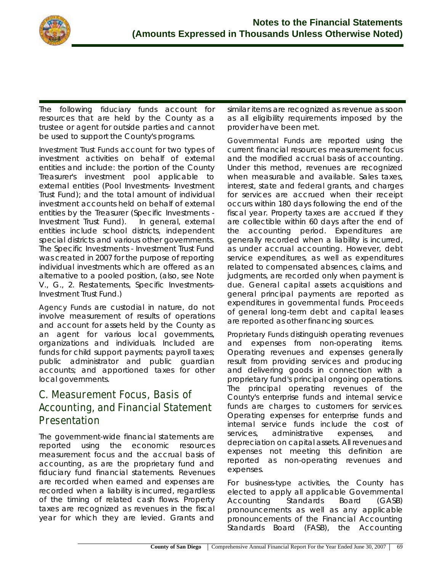

The following fiduciary funds account for resources that are held by the County as a trustee or agent for outside parties and cannot be used to support the County's programs.

*Investment Trust Funds* account for two types of investment activities on behalf of external entities and include: the portion of the County Treasurer's investment pool applicable to external entities (Pool Investments- Investment Trust Fund); and the total amount of individual investment accounts held on behalf of external entities by the Treasurer (Specific Investments - Investment Trust Fund). In general, external entities include school districts, independent special districts and various other governments. The Specific Investments - Investment Trust Fund was created in 2007 for the purpose of reporting individual investments which are offered as an alternative to a pooled position, (also, see Note V., G., 2. Restatements, Specific Investments-Investment Trust Fund.)

*Agency Funds* are custodial in nature, do not involve measurement of results of operations and account for assets held by the County as an agent for various local governments, organizations and individuals. Included are funds for child support payments; payroll taxes; public administrator and public guardian accounts; and apportioned taxes for other local governments.

## **C. Measurement Focus, Basis of Accounting, and Financial Statement Presentation**

The government-wide financial statements are reported using the economic resources measurement focus and the accrual basis of accounting, as are the proprietary fund and fiduciary fund financial statements. Revenues are recorded when earned and expenses are recorded when a liability is incurred, regardless of the timing of related cash flows. Property taxes are recognized as revenues in the fiscal year for which they are levied. Grants and

similar items are recognized as revenue as soon as all eligibility requirements imposed by the provider have been met.

*Governmental Funds* are reported using the current financial resources measurement focus and the modified accrual basis of accounting. Under this method, revenues are recognized when measurable and available. Sales taxes, interest, state and federal grants, and charges for services are accrued when their receipt occurs within 180 days following the end of the fiscal year. Property taxes are accrued if they are collectible within 60 days after the end of the accounting period. Expenditures are generally recorded when a liability is incurred, as under accrual accounting. However, debt service expenditures, as well as expenditures related to compensated absences, claims, and judgments, are recorded only when payment is due. General capital assets acquisitions and general principal payments are reported as expenditures in governmental funds. Proceeds of general long-term debt and capital leases are reported as other financing sources.

*Proprietary Funds* distinguish operating revenues and expenses from non-operating items. Operating revenues and expenses generally result from providing services and producing and delivering goods in connection with a proprietary fund's principal ongoing operations. The principal operating revenues of the County's enterprise funds and internal service funds are charges to customers for services. Operating expenses for enterprise funds and internal service funds include the cost of services, administrative expenses, and depreciation on capital assets. All revenues and expenses not meeting this definition are reported as non-operating revenues and expenses.

For *business-type activities*, the County has elected to apply all applicable Governmental Accounting Standards Board (GASB) pronouncements as well as any applicable pronouncements of the Financial Accounting Standards Board (FASB), the Accounting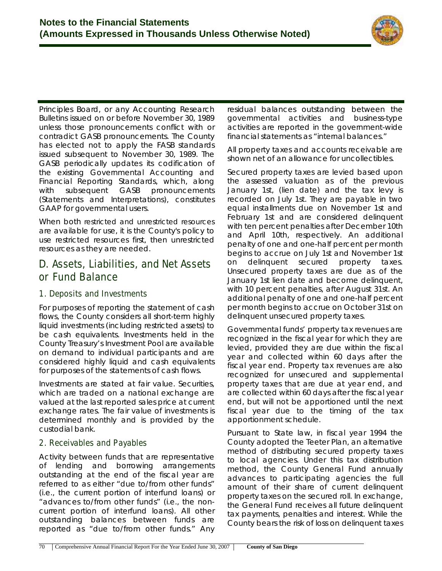

Principles Board, or any Accounting Research Bulletins issued on or before November 30, 1989 unless those pronouncements conflict with or contradict GASB pronouncements. The County has elected not to apply the FASB standards issued subsequent to November 30, 1989. The GASB periodically updates its codification of the existing Governmental Accounting and Financial Reporting Standards, which, along with subsequent GASB pronouncements (Statements and Interpretations), constitutes GAAP for governmental users.

When both *restricted and unrestricted resources* are available for use, it is the County's policy to use restricted resources first, then unrestricted resources as they are needed.

## **D. Assets, Liabilities, and Net Assets or Fund Balance**

## **1. Deposits and Investments**

For purposes of reporting the statement of cash flows, the County considers all short-term highly liquid investments (including restricted assets) to be cash equivalents. Investments held in the County Treasury's Investment Pool are available on demand to individual participants and are considered highly liquid and cash equivalents for purposes of the statements of cash flows.

Investments are stated at fair value. Securities, which are traded on a national exchange are valued at the last reported sales price at current exchange rates. The fair value of investments is determined monthly and is provided by the custodial bank.

## **2. Receivables and Payables**

Activity between funds that are representative of lending and borrowing arrangements outstanding at the end of the fiscal year are referred to as either "due to/from other funds" (i.e., the current portion of interfund loans) or "advances to/from other funds" (i.e., the noncurrent portion of interfund loans). All other outstanding balances between funds are reported as "due to/from other funds." Any residual balances outstanding between the governmental activities and business-type activities are reported in the government-wide financial statements as "internal balances."

All property taxes and accounts receivable are shown net of an allowance for uncollectibles.

Secured property taxes are levied based upon the assessed valuation as of the previous January 1st, (lien date) and the tax levy is recorded on July 1st. They are payable in two equal installments due on November 1st and February 1st and are considered delinquent with ten percent penalties after December 10th and April 10th, respectively. An additional penalty of one and one-half percent per month begins to accrue on July 1st and November 1st on delinquent secured property taxes. Unsecured property taxes are due as of the January 1st lien date and become delinquent, with 10 percent penalties, after August 31st. An additional penalty of one and one-half percent per month begins to accrue on October 31st on delinquent unsecured property taxes.

Governmental funds' property tax revenues are recognized in the fiscal year for which they are levied, provided they are due within the fiscal year and collected within 60 days after the fiscal year end. Property tax revenues are also recognized for unsecured and supplemental property taxes that are due at year end, and are collected within 60 days after the fiscal year end, but will not be apportioned until the next fiscal year due to the timing of the tax apportionment schedule.

Pursuant to State law, in fiscal year 1994 the County adopted the Teeter Plan, an alternative method of distributing secured property taxes to local agencies. Under this tax distribution method, the County General Fund annually advances to participating agencies the full amount of their share of current delinquent property taxes on the secured roll. In exchange, the General Fund receives all future delinquent tax payments, penalties and interest. While the County bears the risk of loss on delinquent taxes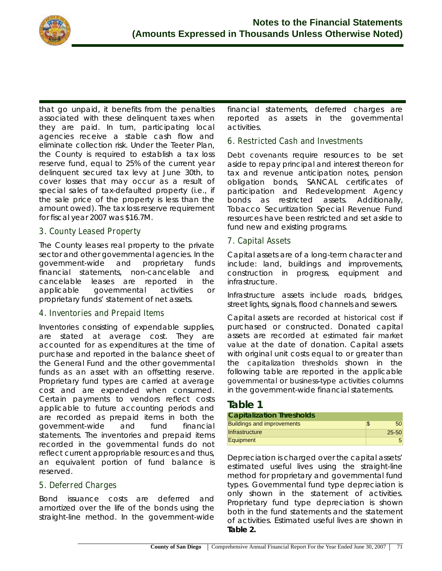

that go unpaid, it benefits from the penalties associated with these delinquent taxes when they are paid. In turn, participating local agencies receive a stable cash flow and eliminate collection risk. Under the Teeter Plan, the County is required to establish a tax loss reserve fund, equal to 25% of the current year delinquent secured tax levy at June 30th, to cover losses that may occur as a result of special sales of tax-defaulted property (i.e., if the sale price of the property is less than the amount owed). The tax loss reserve requirement for fiscal year 2007 was \$16.7M.

### **3. County Leased Property**

The County leases real property to the private sector and other governmental agencies. In the government-wide and proprietary funds financial statements, non-cancelable and cancelable leases are reported in the applicable governmental activities or proprietary funds' statement of net assets.

### **4. Inventories and Prepaid Items**

Inventories consisting of expendable supplies, are stated at average cost. They are accounted for as expenditures at the time of purchase and reported in the balance sheet of the General Fund and the other governmental funds as an asset with an offsetting reserve. Proprietary fund types are carried at average cost and are expended when consumed. Certain payments to vendors reflect costs applicable to future accounting periods and are recorded as prepaid items in both the government-wide and fund financial statements. The inventories and prepaid items recorded in the governmental funds do not reflect current appropriable resources and thus, an equivalent portion of fund balance is reserved.

### **5. Deferred Charges**

Bond issuance costs are deferred and amortized over the life of the bonds using the straight-line method. In the government-wide financial statements, deferred charges are reported as assets in the governmental activities.

### **6. Restricted Cash and Investments**

*Debt covenants* require resources to be set aside to repay principal and interest thereon for tax and revenue anticipation notes, pension obligation bonds, SANCAL certificates of participation and Redevelopment Agency bonds as restricted assets. Additionally, Tobacco Securitization Special Revenue Fund resources have been restricted and set aside to fund new and existing programs.

### **7. Capital Assets**

Capital assets are of a long-term character and include: land, buildings and improvements, construction in progress, equipment and infrastructure.

Infrastructure assets include roads, bridges, street lights, signals, flood channels and sewers.

Capital assets are recorded at *historical cost* if purchased or constructed. Donated capital assets are recorded at *estimated fair market value* at the date of donation. Capital assets with original unit costs equal to or greater than the *capitalization thresholds* shown in the following table are reported in the applicable *governmental* or *business-type activities* columns in the government-wide financial statements.

## **Table 1**

| <b>Capitalization Thresholds</b>  |                 |
|-----------------------------------|-----------------|
| <b>Buildings and improvements</b> | 50 <sup>1</sup> |
| Infrastructure                    | $25 - 50$       |
| Equipment                         |                 |

Depreciation is charged over the capital assets' estimated useful lives using the straight-line method for proprietary and governmental fund types. Governmental fund type depreciation is only shown in the statement of activities. Proprietary fund type depreciation is shown both in the fund statements and the statement of activities. Estimated useful lives are shown in **Table 2.**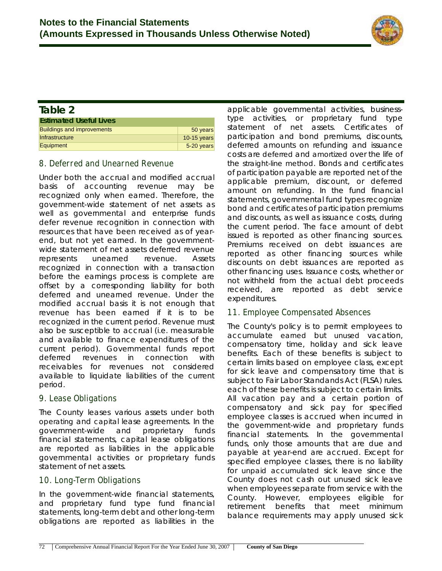

#### **Table 2 Estimated Useful Lives** Buildings and improvements **Example 20 years** 50 years Infrastructure 10-15 years Equipment 5-20 years

### **8. Deferred and Unearned Revenue**

Under both the accrual and modified accrual basis of accounting revenue may be recognized only when earned. Therefore, the government-wide statement of net assets as well as governmental and enterprise funds defer revenue recognition in connection with resources that have been received as of yearend, but not yet earned. In the governmentwide statement of net assets deferred revenue represents unearned revenue. Assets recognized in connection with a transaction before the earnings process is complete are offset by a corresponding liability for both deferred and unearned revenue. Under the modified accrual basis it is not enough that revenue has been earned if it is to be recognized in the current period. Revenue must also be susceptible to accrual (i.e. measurable and available to finance expenditures of the current period). Governmental funds report deferred revenues in connection with receivables for revenues not considered available to liquidate liabilities of the current period.

### **9. Lease Obligations**

The County leases various assets under both *operating* and *capita*l lease agreements. In the government-wide and proprietary funds financial statements, capital lease obligations are reported as liabilities in the applicable governmental activities or proprietary funds statement of net assets.

### **10. Long-Term Obligations**

In the government-wide financial statements, and proprietary fund type fund financial statements, long-term debt and other long-term obligations are reported as liabilities in the

applicable governmental activities, businesstype activities, or proprietary fund type statement of net assets. Certificates of participation and bond premiums, discounts, deferred amounts on refunding and issuance costs are *deferred* and *amortized* over the life of the *straight-line method*. Bonds and certificates of participation payable are reported net of the applicable premium, discount, or deferred amount on refunding. In the fund financial statements, governmental fund types recognize bond and certificates of participation premiums and discounts, as well as issuance costs, during the current period. The face amount of debt issued is reported as other financing sources. Premiums received on debt issuances are reported as other financing sources while discounts on debt issuances are reported as other financing uses. Issuance costs, whether or not withheld from the actual debt proceeds received, are reported as debt service expenditures.

## **11. Employee Compensated Absences**

The County's policy is to permit employees to accumulate *earned* but *unused* vacation, compensatory time, holiday and sick leave benefits. Each of these benefits is subject to certain limits based on employee class, except for sick leave and compensatory time that is subject to Fair Labor Standands Act (FLSA) rules. each of these benefits is subject to certain limits. All vacation pay and a certain portion of compensatory and sick pay for specified employee classes is accrued when incurred in the government-wide and proprietary funds financial statements. In the governmental funds, only those amounts that are due and payable at year-end are accrued. Except for specified employee classes, there is no liability for *unpaid accumulated* sick leave since the County does not cash out unused sick leave when employees separate from service with the County. However, employees eligible for retirement benefits that meet minimum balance requirements may apply unused sick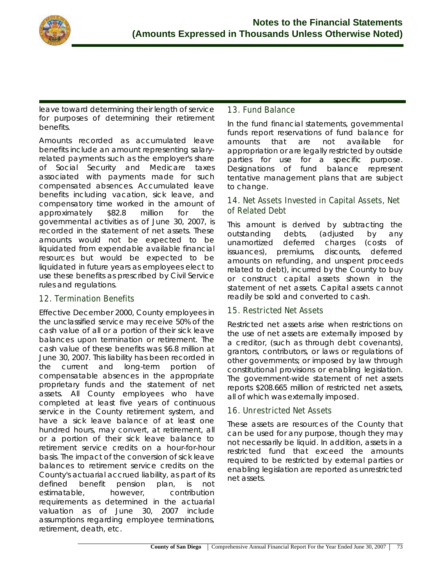

leave toward determining their length of service for purposes of determining their retirement benefits.

Amounts recorded as accumulated leave benefits include an amount representing salaryrelated payments such as the employer's share of Social Security and Medicare taxes associated with payments made for such compensated absences. Accumulated leave benefits including vacation, sick leave, and compensatory time worked in the amount of approximately \$82.8 million for the governmental activities as of June 30, 2007, is recorded in the statement of net assets. These amounts would not be expected to be liquidated from expendable available financial resources but would be expected to be liquidated in future years as employees elect to use these benefits as prescribed by Civil Service rules and regulations.

## **12. Termination Benefits**

Effective December 2000, County employees in the unclassified service may receive 50% of the cash value of all or a portion of their sick leave balances upon termination or retirement. The cash value of these benefits was \$6.8 million at June 30, 2007. This liability has been recorded in the current and long-term portion of compensatable absences in the appropriate proprietary funds and the statement of net assets. All County employees who have completed at least five years of continuous service in the County retirement system, and have a sick leave balance of at least one hundred hours, may convert, at retirement, all or a portion of their sick leave balance to retirement service credits on a hour-for-hour basis. The impact of the conversion of sick leave balances to retirement service credits on the County's actuarial accrued liability, as part of its defined benefit pension plan, is not estimatable, however, contribution requirements as determined in the actuarial valuation as of June 30, 2007 include assumptions regarding employee terminations, retirement, death, etc.

### **13. Fund Balance**

In the fund financial statements, governmental funds report reservations of fund balance for amounts that are not available for appropriation or are legally restricted by outside parties for use for a specific purpose. Designations of fund balance represent tentative management plans that are subject to change.

## **14. Net Assets Invested in Capital Assets, Net of Related Debt**

This amount is derived by subtracting the outstanding debts, (adjusted by any unamortized deferred charges (costs of issuances), premiums, discounts, deferred amounts on refunding, and unspent proceeds related to debt), incurred by the County to buy or construct capital assets shown in the statement of net assets. Capital assets cannot readily be sold and converted to cash.

## **15. Restricted Net Assets**

Restricted net assets arise when restrictions on the use of net assets are externally imposed by a creditor, (such as through debt covenants), grantors, contributors, or laws or regulations of other governments; or imposed by law through constitutional provisions or enabling legislation. The government-wide statement of net assets reports \$208.665 million of restricted net assets, all of which was externally imposed.

## **16. Unrestricted Net Assets**

These assets are resources of the County that can be used for any purpose, though they may not necessarily be liquid. In addition, assets in a restricted fund that exceed the amounts required to be restricted by external parties or enabling legislation are reported as unrestricted net assets.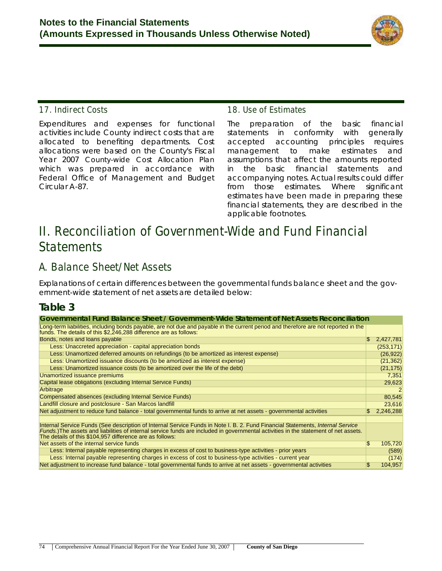

## **17. Indirect Costs**

Expenditures and expenses for functional activities include County indirect costs that are allocated to benefiting departments. Cost allocations were based on the County's Fiscal Year 2007 *County-wide Cost Allocation Plan* which was prepared in accordance with Federal Office of Management and Budget Circular A-87.

### **18. Use of Estimates**

The preparation of the basic financial statements in conformity with generally accepted accounting principles requires management to make estimates and assumptions that affect the amounts reported in the basic financial statements and accompanying notes. Actual results could differ from those estimates. Where significant estimates have been made in preparing these financial statements, they are described in the applicable footnotes.

# **II. Reconciliation of Government-Wide and Fund Financial Statements**

## **A. Balance Sheet/Net Assets**

Explanations of certain differences between the governmental funds balance sheet and the government-wide statement of net assets are detailed below:

## **Table 3**

| Governmental Fund Balance Sheet / Government-Wide Statement of Net Assets Reconciliation                                                                                                              |     |            |
|-------------------------------------------------------------------------------------------------------------------------------------------------------------------------------------------------------|-----|------------|
| Long-term liabilities, including bonds payable, are not due and payable in the current period and therefore are not reported in the funds. The details of this \$2,246,288 difference are as follows: |     |            |
| Bonds, notes and loans payable                                                                                                                                                                        | \$. | 2,427,781  |
| Less: Unaccreted appreciation - capital appreciation bonds                                                                                                                                            |     | (253, 171) |
| Less: Unamortized deferred amounts on refundings (to be amortized as interest expense)                                                                                                                |     | (26, 922)  |
| Less: Unamortized issuance discounts (to be amortized as interest expense)                                                                                                                            |     | (21, 362)  |
| Less: Unamortized issuance costs (to be amortized over the life of the debt)                                                                                                                          |     | (21, 175)  |
| Unamortized issuance premiums                                                                                                                                                                         |     | 7,351      |
| Capital lease obligations (excluding Internal Service Funds)                                                                                                                                          |     | 29,623     |
| Arbitrage                                                                                                                                                                                             |     | 2          |
| Compensated absences (excluding Internal Service Funds)                                                                                                                                               |     | 80,545     |
| Landfill closure and postclosure - San Marcos landfill                                                                                                                                                |     | 23,616     |
| Net adjustment to reduce fund balance - total governmental funds to arrive at net assets - governmental activities                                                                                    | \$. | 2,246,288  |
|                                                                                                                                                                                                       |     |            |
| Internal Service Funds (See description of Internal Service Funds in Note I. B. 2. Fund Financial Statements, Internal Service                                                                        |     |            |
| Funds.)The assets and liabilities of internal service funds are included in governmental activities in the statement of net assets.<br>The details of this \$104,957 difference are as follows:       |     |            |
| Net assets of the internal service funds                                                                                                                                                              | \$. | 105,720    |
| Less: Internal payable representing charges in excess of cost to business-type activities - prior years                                                                                               |     | (589)      |
| Less: Internal payable representing charges in excess of cost to business-type activities - current year                                                                                              |     | (174)      |
| Net adjustment to increase fund balance - total governmental funds to arrive at net assets - governmental activities                                                                                  | SS. | 104,957    |
|                                                                                                                                                                                                       |     |            |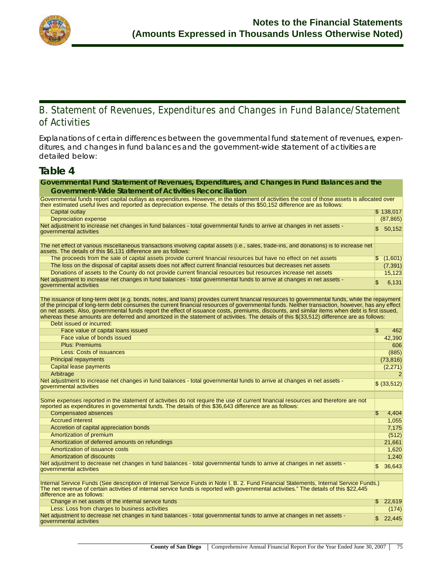

## **B. Statement of Revenues, Expenditures and Changes in Fund Balance/Statement of Activities**

Explanations of certain differences between the governmental fund statement of revenues, expenditures, and changes in fund balances and the government-wide statement of activities are detailed below:

**Governmental Fund Statement of Revenues, Expenditures, and Changes in Fund Balances and the** 

## **Table 4**

| <b>Government-Wide Statement of Activities Reconciliation</b>                                                                                                                                                                                                                                                                                                                                                                                                                                                                                                                                                                |     |                |
|------------------------------------------------------------------------------------------------------------------------------------------------------------------------------------------------------------------------------------------------------------------------------------------------------------------------------------------------------------------------------------------------------------------------------------------------------------------------------------------------------------------------------------------------------------------------------------------------------------------------------|-----|----------------|
| Governmental funds report capital outlays as expenditures. However, in the statement of activities the cost of those assets is allocated over<br>their estimated useful lives and reported as depreciation expense. The details of this \$50,152 difference are as follows:                                                                                                                                                                                                                                                                                                                                                  |     |                |
| Capital outlay                                                                                                                                                                                                                                                                                                                                                                                                                                                                                                                                                                                                               |     | \$138,017      |
| <b>Depreciation expense</b>                                                                                                                                                                                                                                                                                                                                                                                                                                                                                                                                                                                                  |     | (87, 865)      |
| Net adjustment to increase net changes in fund balances - total governmental funds to arrive at changes in net assets -<br>governmental activities                                                                                                                                                                                                                                                                                                                                                                                                                                                                           |     | 50,152         |
| The net effect of various miscellaneous transactions involving capital assets (i.e., sales, trade-ins, and donations) is to increase net<br>assets. The details of this \$6,131 difference are as follows:                                                                                                                                                                                                                                                                                                                                                                                                                   |     |                |
| The proceeds from the sale of capital assets provide current financial resources but have no effect on net assets                                                                                                                                                                                                                                                                                                                                                                                                                                                                                                            |     | \$(1,601)      |
| The loss on the disposal of capital assets does not affect current financial resources but decreases net assets                                                                                                                                                                                                                                                                                                                                                                                                                                                                                                              |     | (7, 391)       |
| Donations of assets to the County do not provide current financial resources but resources increase net assets                                                                                                                                                                                                                                                                                                                                                                                                                                                                                                               |     | 15,123         |
| Net adjustment to increase net changes in fund balances - total governmental funds to arrive at changes in net assets -<br>governmental activities                                                                                                                                                                                                                                                                                                                                                                                                                                                                           | \$  | 6,131          |
| The issuance of long-term debt (e.g. bonds, notes, and loans) provides current financial resources to governmental funds, while the repayment<br>of the principal of long-term debt consumes the current financial resources of governmental funds. Neither transaction, however, has any effect<br>on net assets. Also, governmental funds report the effect of issuance costs, premiums, discounts, and similar items when debt is first issued,<br>whereas these amounts are deferred and amortized in the statement of activities. The details of this \$(33,512) difference are as follows:<br>Debt issued or incurred: |     |                |
| Face value of capital loans issued                                                                                                                                                                                                                                                                                                                                                                                                                                                                                                                                                                                           |     |                |
|                                                                                                                                                                                                                                                                                                                                                                                                                                                                                                                                                                                                                              | \$  | 462            |
| Face value of bonds issued                                                                                                                                                                                                                                                                                                                                                                                                                                                                                                                                                                                                   |     | 42,390         |
| <b>Plus: Premiums</b>                                                                                                                                                                                                                                                                                                                                                                                                                                                                                                                                                                                                        |     | 606            |
| <b>Less: Costs of issuances</b>                                                                                                                                                                                                                                                                                                                                                                                                                                                                                                                                                                                              |     | (885)          |
| <b>Principal repayments</b>                                                                                                                                                                                                                                                                                                                                                                                                                                                                                                                                                                                                  |     | (73, 816)      |
| <b>Capital lease payments</b>                                                                                                                                                                                                                                                                                                                                                                                                                                                                                                                                                                                                |     | (2,271)        |
| Arbitrage                                                                                                                                                                                                                                                                                                                                                                                                                                                                                                                                                                                                                    |     | $\overline{2}$ |
| Net adjustment to increase net changes in fund balances - total governmental funds to arrive at changes in net assets -<br>governmental activities                                                                                                                                                                                                                                                                                                                                                                                                                                                                           |     | \$ (33,512)    |
|                                                                                                                                                                                                                                                                                                                                                                                                                                                                                                                                                                                                                              |     |                |
| Some expenses reported in the statement of activities do not require the use of current financial resources and therefore are not<br>reported as expenditures in governmental funds. The details of this \$36,643 difference are as follows:                                                                                                                                                                                                                                                                                                                                                                                 |     |                |
| <b>Compensated absences</b>                                                                                                                                                                                                                                                                                                                                                                                                                                                                                                                                                                                                  | \$. | 4,404          |
| <b>Accrued interest</b>                                                                                                                                                                                                                                                                                                                                                                                                                                                                                                                                                                                                      |     | 1,055          |
| Accretion of capital appreciation bonds                                                                                                                                                                                                                                                                                                                                                                                                                                                                                                                                                                                      |     | 7,175          |
| Amortization of premium                                                                                                                                                                                                                                                                                                                                                                                                                                                                                                                                                                                                      |     | (512)          |
| Amortization of deferred amounts on refundings                                                                                                                                                                                                                                                                                                                                                                                                                                                                                                                                                                               |     | 21,661         |
| Amortization of issuance costs                                                                                                                                                                                                                                                                                                                                                                                                                                                                                                                                                                                               |     | 1,620          |
| <b>Amortization of discounts</b>                                                                                                                                                                                                                                                                                                                                                                                                                                                                                                                                                                                             |     | 1,240          |
| Net adjustment to decrease net changes in fund balances - total governmental funds to arrive at changes in net assets -                                                                                                                                                                                                                                                                                                                                                                                                                                                                                                      |     |                |
| governmental activities                                                                                                                                                                                                                                                                                                                                                                                                                                                                                                                                                                                                      |     | 36,643         |
| Internal Service Funds (See description of Internal Service Funds in Note I. B. 2. Fund Financial Statements, Internal Service Funds.)<br>The net revenue of certain activities of internal service funds is reported with governmental activities." The details of this \$22,445<br>difference are as follows:                                                                                                                                                                                                                                                                                                              |     |                |
| Change in net assets of the internal service funds                                                                                                                                                                                                                                                                                                                                                                                                                                                                                                                                                                           |     | 22,619         |
| Less: Loss from charges to business activities                                                                                                                                                                                                                                                                                                                                                                                                                                                                                                                                                                               |     | (174)          |
| Net adjustment to decrease net changes in fund balances - total governmental funds to arrive at changes in net assets -<br>governmental activities                                                                                                                                                                                                                                                                                                                                                                                                                                                                           | \$. | 22,445         |
|                                                                                                                                                                                                                                                                                                                                                                                                                                                                                                                                                                                                                              |     |                |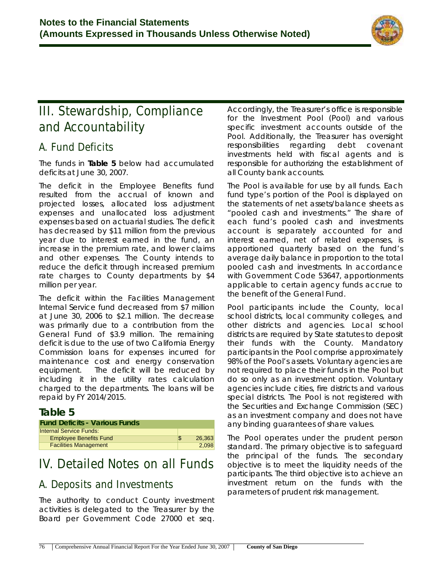

# **III. Stewardship, Compliance and Accountability**

## **A. Fund Deficits**

The funds in **Table 5** below had accumulated deficits at June 30, 2007.

The deficit in the Employee Benefits fund resulted from the accrual of known and projected losses, allocated loss adjustment expenses and unallocated loss adjustment expenses based on actuarial studies. The deficit has decreased by \$11 million from the previous year due to interest earned in the fund, an increase in the premium rate, and lower claims and other expenses. The County intends to reduce the deficit through increased premium rate charges to County departments by \$4 million per year.

The deficit within the Facilities Management Internal Service fund decreased from \$7 million at June 30, 2006 to \$2.1 million. The decrease was primarily due to a contribution from the General Fund of \$3.9 million. The remaining deficit is due to the use of two California Energy Commission loans for expenses incurred for maintenance cost and energy conservation equipment. The deficit will be reduced by including it in the utility rates calculation charged to the departments. The loans will be repaid by FY 2014/2015.

## **Table 5**

| <b>Fund Deficits - Various Funds</b> |     |        |
|--------------------------------------|-----|--------|
| <b>Internal Service Funds:</b>       |     |        |
| <b>Employee Benefits Fund</b>        | \$. | 26.363 |
| <b>Facilities Management</b>         |     | 2.098  |

# **IV. Detailed Notes on all Funds**

## **A. Deposits and Investments**

The authority to conduct County investment activities is delegated to the Treasurer by the Board per Government Code 27000 et seq.

Accordingly, the Treasurer's office is responsible for the Investment Pool (Pool) and various specific investment accounts outside of the Pool. Additionally, the Treasurer has oversight responsibilities regarding debt covenant investments held with fiscal agents and is responsible for authorizing the establishment of all County bank accounts.

The Pool is available for use by all funds. Each fund type's portion of the Pool is displayed on the statements of net assets/balance sheets as "pooled cash and investments." The share of each fund's pooled cash and investments account is separately accounted for and interest earned, net of related expenses, is apportioned quarterly based on the fund's average daily balance in proportion to the total pooled cash and investments. In accordance with Government Code 53647, apportionments applicable to certain agency funds accrue to the benefit of the General Fund.

Pool participants include the County, local school districts, local community colleges, and other districts and agencies. Local school districts are required by State statutes to deposit their funds with the County. Mandatory participants in the Pool comprise approximately 98% of the Pool's assets. Voluntary agencies are not required to place their funds in the Pool but do so only as an investment option. Voluntary agencies include cities, fire districts and various special districts. The Pool is not registered with the Securities and Exchange Commission (SEC) as an investment company and does not have any binding guarantees of share values.

The Pool operates under the prudent person standard. The primary objective is to safeguard the principal of the funds. The secondary objective is to meet the liquidity needs of the participants. The third objective is to achieve an investment return on the funds with the parameters of prudent risk management.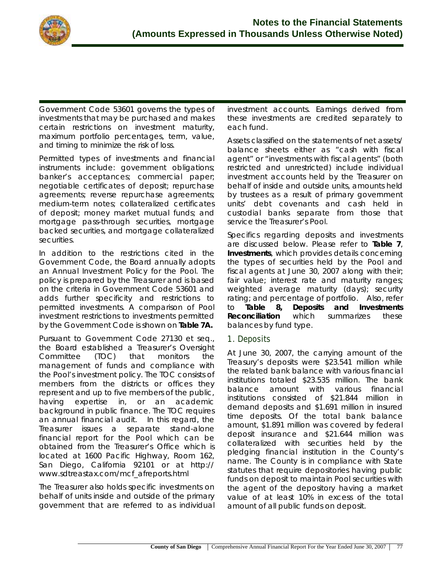

Government Code 53601 governs the types of investments that may be purchased and makes certain restrictions on investment maturity, maximum portfolio percentages, term, value, and timing to minimize the risk of loss.

Permitted types of investments and financial instruments include: government obligations; banker's acceptances; commercial paper; negotiable certificates of deposit; repurchase agreements; reverse repurchase agreements; medium-term notes; collateralized certificates of deposit; money market mutual funds; and mortgage pass-through securities, mortgage backed securities, and mortgage collateralized securities.

In addition to the restrictions cited in the Government Code, the Board annually adopts an Annual Investment Policy for the Pool. The policy is prepared by the Treasurer and is based on the criteria in Government Code 53601 and adds further specificity and restrictions to permitted investments. A comparison of Pool investment restrictions to investments permitted by the Government Code is shown on **Table 7A.**

Pursuant to Government Code 27130 et seq., the Board established a Treasurer's Oversight Committee (TOC) that monitors the management of funds and compliance with the Pool's investment policy. The TOC consists of members from the districts or offices they represent and up to five members of the public, having expertise in, or an academic background in public finance. The TOC requires an annual financial audit. In this regard, the Treasurer issues a separate stand-alone financial report for the Pool which can be obtained from the Treasurer's Office which is located at 1600 Pacific Highway, Room 162, San Diego, California 92101 or at http:// www.sdtreastax.com/mcf\_afreports.html

The Treasurer also holds specific investments on behalf of units inside and outside of the primary government that are referred to as individual investment accounts. Earnings derived from these investments are credited separately to each fund.

Assets classified on the statements of net assets/ balance sheets either as "cash with fiscal agent" or "investments with fiscal agents" (both restricted and unrestricted) include individual investment accounts held by the Treasurer on behalf of inside and outside units, amounts held by trustees as a result of primary government units' debt covenants and cash held in custodial banks separate from those that service the Treasurer's Pool.

Specifics regarding deposits and investments are discussed below. Please refer to **Table 7**, **Investments**, which provides details concerning the types of securities held by the Pool and fiscal agents at June 30, 2007 along with their; fair value; interest rate and maturity ranges; weighted average maturity (days); security rating; and percentage of portfolio. Also, refer to **Table 8, Deposits and Investments Reconciliation** which summarizes these balances by fund type.

## **1. Deposits**

At June 30, 2007, the carrying amount of the Treasury's deposits were \$23.541 million while the related bank balance with various financial institutions totaled \$23.535 million. The bank balance amount with various financial institutions consisted of \$21.844 million in demand deposits and \$1.691 million in insured time deposits. Of the total bank balance amount, \$1.891 million was covered by federal deposit insurance and \$21.644 million was collateralized with securities held by the pledging financial institution in the County's name. The County is in compliance with State statutes that require depositories having public funds on deposit to maintain Pool securities with the agent of the depository having a market value of at least 10% in excess of the total amount of all public funds on deposit.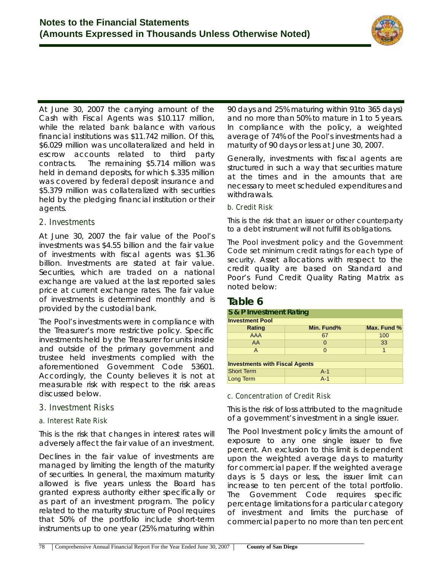

At June 30, 2007 the carrying amount of the Cash with Fiscal Agents was \$10.117 million, while the related bank balance with various financial institutions was \$11.742 million. Of this, \$6.029 million was uncollateralized and held in escrow accounts related to third party contracts. The remaining \$5.714 million was held in demand deposits, for which \$.335 million was covered by federal deposit insurance and \$5.379 million was collateralized with securities held by the pledging financial institution or their agents.

## **2. Investments**

At June 30, 2007 the fair value of the Pool's investments was \$4.55 billion and the fair value of investments with fiscal agents was \$1.36 billion. Investments are stated at fair value. Securities, which are traded on a national exchange are valued at the last reported sales price at current exchange rates. The fair value of investments is determined monthly and is provided by the custodial bank.

The Pool's investments were in compliance with the Treasurer's more restrictive policy. Specific investments held by the Treasurer for units inside and outside of the primary government and trustee held investments complied with the aforementioned Government Code 53601. Accordingly, the County believes it is not at measurable risk with respect to the risk areas discussed below.

## **3. Investment Risks**

### **a. Interest Rate Risk**

This is the risk that changes in interest rates will adversely affect the fair value of an investment.

Declines in the fair value of investments are managed by limiting the length of the maturity of securities. In general, the maximum maturity allowed is five years unless the Board has granted express authority either specifically or as part of an investment program. The policy related to the maturity structure of Pool requires that 50% of the portfolio include short-term instruments up to one year (25% maturing within

90 days and 25% maturing within 91to 365 days) and no more than 50% to mature in 1 to 5 years. In compliance with the policy, a weighted average of 74% of the Pool's investments had a maturity of 90 days or less at June 30, 2007.

Generally, investments with fiscal agents are structured in such a way that securities mature at the times and in the amounts that are necessary to meet scheduled expenditures and withdrawals.

#### **b. Credit Risk**

This is the risk that an issuer or other counterparty to *a* debt instrument will not fulfill its obligations.

The Pool investment policy and the Government Code set minimum credit ratings for each type of security. Asset allocations with respect to the credit quality are based on Standard and Poor's Fund Credit Quality Rating Matrix as noted below:

## **Table 6**

| S & P Investment Rating               |            |             |  |  |  |  |  |  |
|---------------------------------------|------------|-------------|--|--|--|--|--|--|
| <b>Investment Pool</b>                |            |             |  |  |  |  |  |  |
| <b>Rating</b>                         | Min. Fund% | Max. Fund % |  |  |  |  |  |  |
| <b>AAA</b>                            | 67         | 100         |  |  |  |  |  |  |
| AA                                    | O          | 33          |  |  |  |  |  |  |
| A                                     | $\Omega$   | 1           |  |  |  |  |  |  |
|                                       |            |             |  |  |  |  |  |  |
| <b>Investments with Fiscal Agents</b> |            |             |  |  |  |  |  |  |
| <b>Short Term</b>                     | $A-1$      |             |  |  |  |  |  |  |
| Long Term                             | $A-1$      |             |  |  |  |  |  |  |

#### **c. Concentration of Credit Risk**

This is the risk of loss attributed to the magnitude of a government's investment in a single issuer.

The Pool Investment policy limits the amount of exposure to any one single issuer to five percent. An exclusion to this limit is dependent upon the weighted average days to maturity for commercial paper. If the weighted average days is 5 days or less, the issuer limit can increase to ten percent of the total portfolio. The Government Code requires specific percentage limitations for a particular category of investment and limits the purchase of commercial paper to no more than ten percent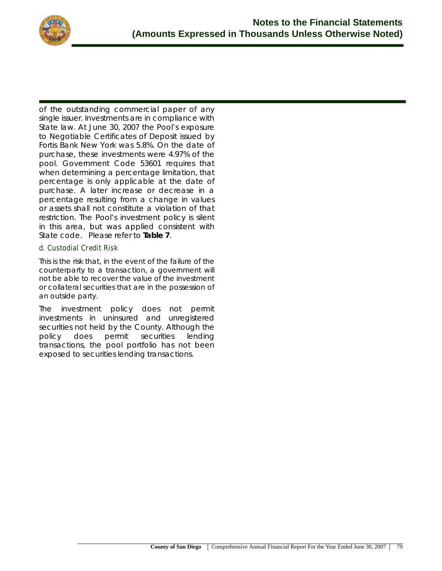

of the outstanding commercial paper of any single issuer. Investments are in compliance with State law. At June 30, 2007 the Pool's exposure to Negotiable Certificates of Deposit issued by Fortis Bank New York was 5.8%. On the date of purchase, these investments were 4.97% of the pool. Government Code 53601 requires that when determining a percentage limitation, that percentage is only applicable at the date of purchase. A later increase or decrease in a percentage resulting from a change in values or assets shall not constitute a violation of that restriction. The Pool's investment policy is silent in this area, but was applied consistent with State code. Please refer to **Table 7**.

#### **d. Custodial Credit Risk**

This is the risk that, in the event of the failure of the counterparty to a transaction, a government will not be able to recover the value of the investment or collateral securities that are in the possession of an outside party.

The investment policy does not permit investments in uninsured and unregistered securities not held by the County. Although the policy does permit securities lending transactions, the pool portfolio has not been exposed to securities lending transactions.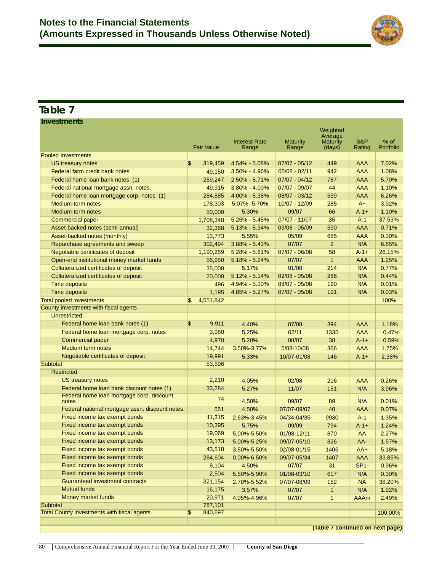

## **Table 7**

**Investments**

|                                                    | <b>Fair Value</b>                  | <b>Interest Rate</b><br>Range | <b>Maturity</b><br>Range | Weighted<br>Average<br><b>Maturity</b><br>(days) | S&P<br>Rating | % of<br>Portfolio |
|----------------------------------------------------|------------------------------------|-------------------------------|--------------------------|--------------------------------------------------|---------------|-------------------|
| <b>Pooled Investments</b>                          |                                    |                               |                          |                                                  |               |                   |
| US treasury notes                                  | \$<br>319,459                      | 4.54% - 5.08%                 | $07/07 - 05/12$          | 449                                              | AAA           | 7.02%             |
| Federal farm credit bank notes                     | 49,150                             | $3.50\% - 4.96\%$             | $05/08 - 02/11$          | 942                                              | AAA           | 1.08%             |
| Federal home loan bank notes (1)                   | 259,247                            | $2.50\% - 5.71\%$             | $07/07 - 04/12$          | 787                                              | AAA           | 5.70%             |
| Federal national mortgage assn. notes              | 49,915                             | 3.80% - 4.00%                 | 07/07 - 09/07            | 44                                               | <b>AAA</b>    | 1.10%             |
| Federal home loan mortgage corp. notes (1)         | 284,885                            | 4.00% - 5.38%                 | 08/07 - 03/12            | 539                                              | <b>AAA</b>    | 6.26%             |
| Medium-term notes                                  | 178,303                            | 5.07% - 5.70%                 | 10/07 - 12/09            | 285                                              | $A+$          | 3.92%             |
| Medium-term notes                                  | 50,000                             | 5.30%                         | 09/07                    | 66                                               | $A - 1 +$     | 1.10%             |
| <b>Commercial paper</b>                            | 1,708,348                          | $5.26\% - 5.45\%$             | 07/07 - 11/07            | 35                                               | $A-1$         | 37.53%            |
| Asset-backed notes (semi-annual)                   | 32,368                             | $5.13\% - 5.34\%$             | $03/08 - 05/09$          | 590                                              | AAA           | 0.71%             |
| Asset-backed notes (monthly)                       | 13,773                             | 5.55%                         | 05/09                    | 685                                              | AAA           | 0.30%             |
| Repurchase agreements and sweep                    | 302,494                            | $3.88\% - 5.43\%$             | 07/07                    | $\overline{2}$                                   | N/A           | 6.65%             |
| Negotiable certificates of deposit                 | 1,190,259                          | $5.28\% - 5.61\%$             | $07/07 - 06/08$          | 58                                               | $A-1+$        | 26.15%            |
| Open-end institutional money market funds          | 56,950                             | 5.18% - 5.24%                 | 07/07                    | $\mathbf{1}$                                     | AAA           | 1.25%             |
| Collateralized certificates of deposit             | 35,000                             | 5.17%                         | 01/08                    | 214                                              | N/A           | 0.77%             |
| Collateralized certificates of deposit             | 20,000                             | $5.12\% - 5.14\%$             | $02/08 - 05/08$          | 286                                              | N/A           | 0.44%             |
| <b>Time deposits</b>                               | 496                                | 4.94% - 5.10%                 | 08/07 - 05/08            | 190                                              | N/A           | 0.01%             |
| <b>Time deposits</b>                               | 1,195                              | 4.85% - 5.27%                 | 07/07 - 05/08            | 191                                              | N/A           | 0.03%             |
| <b>Total pooled investments</b>                    | \$<br>4,551,842                    |                               |                          |                                                  |               | 100%              |
| County investments with fiscal agents              |                                    |                               |                          |                                                  |               |                   |
| Unrestricted:                                      |                                    |                               |                          |                                                  |               |                   |
| Federal home loan bank notes (1)                   | \$<br>9,911                        | 4.40%                         | 07/08                    | 394                                              | <b>AAA</b>    | 1.18%             |
| Federal home loan mortgage corp. notes             | 3.980                              | 5.25%                         | 02/11                    | 1335                                             | <b>AAA</b>    | 0.47%             |
| <b>Commercial paper</b>                            | 4,970                              | 5.20%                         | 08/07                    | 38                                               | $A - 1 +$     | 0.59%             |
| Medium term notes                                  | 14,744                             | 3.50%-3.77%                   | 5/08-10/08               | 366                                              | <b>AAA</b>    | 1.75%             |
| Negotiable certificates of deposit                 | 19,991                             | 5.33%                         | 10/07-01/08              | 146                                              | $A - 1 +$     | 2.38%             |
| Subtotal                                           | 53,596                             |                               |                          |                                                  |               |                   |
| <b>Restricted:</b>                                 |                                    |                               |                          |                                                  |               |                   |
| <b>US treasury notes</b>                           | 2,210                              | 4.05%                         | 02/08                    | 216                                              | AAA           | 0.26%             |
| Federal home loan bank discount notes (1)          | 33,284                             | 5.27%                         | 11/07                    | 151                                              | N/A           | 3.96%             |
| Federal home loan mortgage corp. discount          | 74                                 |                               |                          |                                                  |               |                   |
| notes                                              |                                    | 4.50%                         | 09/07                    | 89                                               | N/A           | 0.01%             |
| Federal national mortgage assn. discount notes     | 551                                | 4.50%                         | 07/07-09/07              | 40                                               | <b>AAA</b>    | 0.07%             |
| Fixed income tax exempt bonds                      | 11,315                             | 2.63%-3.45%                   | 04/34-04/35              | 9930                                             | $A-1$         | 1.35%             |
| Fixed income tax exempt bonds                      | 10,395                             | 5.75%                         | 09/09                    | 794                                              | $A - 1 +$     | 1.24%             |
| Fixed income tax exempt bonds                      | 19,069                             | 5.00%-5.50%                   | 01/08-12/11              | 870                                              | AA            | 2.27%             |
| Fixed income tax exempt bonds                      | 13,173                             | 5.00%-5.25%                   | 09/07-05/10              | 826                                              | AA-           | 1.57%             |
| Fixed income tax exempt bonds                      | 43,518                             | 3.50%-5.50%                   | 02/08-01/15              | 1406                                             | AA+           | 5.18%             |
| Fixed income tax exempt bonds                      | 284,604                            | $0.00\% - 6.50\%$             | 09/07-05/34              | 1407                                             | AAA           | 33.85%            |
| Fixed income tax exempt bonds                      | 8,104                              | 4.50%                         | 07/07                    | 31                                               | <b>SP1-</b>   | 0.96%             |
| Fixed income tax exempt bonds                      | 2,504                              | 5.50%-5.90%                   | 01/08-03/10              | 617                                              | N/A           | 0.30%             |
| <b>Guaranteed investment contracts</b>             | 321,154                            | 2.70%-5.52%                   | 07/07-08/09              | 152                                              | <b>NA</b>     | 38.20%            |
| <b>Mutual funds</b>                                | 16,175                             | 3.57%                         | 07/07                    | $\mathbf{1}$                                     | N/A           | 1.92%             |
| Money market funds                                 | 20,971                             | 4.05%-4.96%                   | 07/07                    | $\mathbf{1}$                                     | <b>AAAm</b>   | 2.49%             |
| Subtotal                                           | 787,101                            |                               |                          |                                                  |               |                   |
| <b>Total County investments with fiscal agents</b> | $\sqrt[6]{\frac{1}{2}}$<br>840,697 |                               |                          |                                                  |               | 100.00%           |
|                                                    |                                    |                               |                          | (Table 7 continued on next page)                 |               |                   |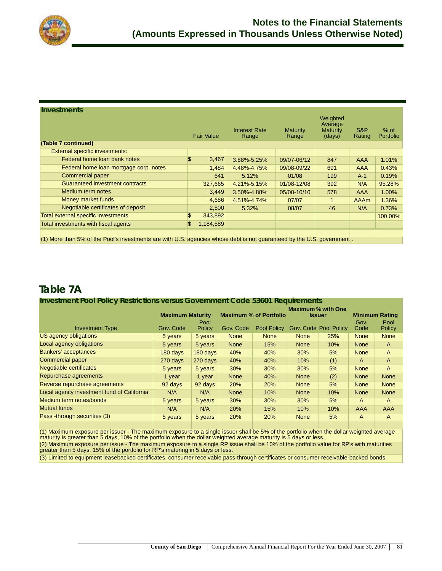

#### **Investments**

|                                                                                                                        | <b>Fair Value</b> | <b>Interest Rate</b><br>Range | Maturity<br>Range | Weighted<br>Average<br><b>Maturity</b><br>(days) | S&P<br>Rating | $%$ of<br>Portfolio |  |
|------------------------------------------------------------------------------------------------------------------------|-------------------|-------------------------------|-------------------|--------------------------------------------------|---------------|---------------------|--|
| (Table 7 continued)                                                                                                    |                   |                               |                   |                                                  |               |                     |  |
| External specific investments:                                                                                         |                   |                               |                   |                                                  |               |                     |  |
| Federal home loan bank notes                                                                                           | \$<br>3,467       | 3.88%-5.25%                   | 09/07-06/12       | 847                                              | AAA           | 1.01%               |  |
| Federal home loan mortgage corp. notes                                                                                 | 1,484             | 4.48%-4.75%                   | 09/08-09/22       | 691                                              | AAA           | 0.43%               |  |
| Commercial paper                                                                                                       | 641               | 5.12%                         | 01/08             | 199                                              | $A-1$         | 0.19%               |  |
| Guaranteed investment contracts                                                                                        | 327,665           | 4.21%-5.15%                   | 01/08-12/08       | 392                                              | N/A           | 95.28%              |  |
| Medium term notes                                                                                                      | 3,449             | 3.50%-4.88%                   | 05/08-10/10       | 578                                              | AAA           | 1.00%               |  |
| Money market funds                                                                                                     | 4,686             | 4.51%-4.74%                   | 07/07             | 1                                                | AAAm          | 1.36%               |  |
| Negotiable certificates of deposit                                                                                     | 2,500             | 5.32%                         | 08/07             | 46                                               | N/A           | 0.73%               |  |
| Total external specific investments                                                                                    | \$<br>343,892     |                               |                   |                                                  |               | 100.00%             |  |
| Total investments with fiscal agents                                                                                   | \$<br>1,184,589   |                               |                   |                                                  |               |                     |  |
|                                                                                                                        |                   |                               |                   |                                                  |               |                     |  |
| (1) More than 5% of the Pool's investments are with U.S. agencies whose debt is not guaranteed by the U.S. government. |                   |                               |                   |                                                  |               |                     |  |

## **Table 7A**

#### **Investment Pool Policy Restrictions versus Government Code 53601 Requirements Maximum Maturity Maximum % of Portfolio Maximum % with One Issuer Minimum Rating** Investment Type Gov. Code Pool<br>Policy Gov. Code Pool Policy Gov. Code Pool Policy Gov. Code Pool Policy US agency obligations **5 years 5 years None None None 25% None None** None None Local agency obligations The Stears 5 years Stears None 15% None 10% None A Bankers' acceptances and the content of the days 180 days 180 days 40% 40% 30% 5% None A Commercial paper 270 days 270 days 40% 40% 10% (1) A A Negotiable certificates **6 years 5 years 5 years** 30% 30% 30% 5% None A Repurchase agreements and the state of the 1 year 1 year None 40% None (2) None None Reverse repurchase agreements and the 92 days 92 days 20% 20% None 5% None None Local agency investment fund of California N/A N/A None 10% None 10% None None Medium term notes/bonds and the state of the state of the state of the state of the state of the state of the state of the state of the state of the state of the state of the state of the state of the state of the state of Mutual funds N/A N/A 20% 15% 10% 10% AAA AAA Pass -through securities (3) 5 years 5 years 20% 20% None 5% A A A

(1) Maximum exposure per issuer - The maximum exposure to a single issuer shall be 5% of the portfolio when the dollar weighted average maturity is greater than 5 days, 10% of the portfolio when the dollar weighted average maturity is 5 days or less. (2) Maximum exposure per issue - The maximum exposure to a single RP issue shall be 10% of the portfolio value for RP's with maturities

greater than 5 days, 15% of the portfolio for RP's maturing in 5 days or less. (3) Limited to equipment leasebacked certificates, consumer receivable pass-through certificates or consumer receivable-backed bonds.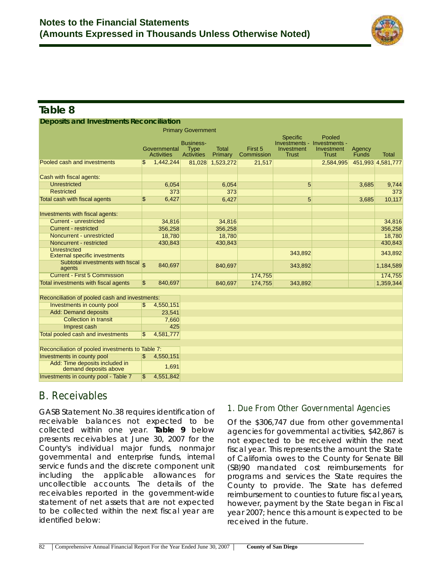

## **Table 8**

| Table 8                                                     |              |                                   |                                                      |                         |                       |                                                                |                                                       |                 |                   |
|-------------------------------------------------------------|--------------|-----------------------------------|------------------------------------------------------|-------------------------|-----------------------|----------------------------------------------------------------|-------------------------------------------------------|-----------------|-------------------|
| <b>Deposits and Investments Reconciliation</b>              |              |                                   |                                                      |                         |                       |                                                                |                                                       |                 |                   |
|                                                             |              |                                   | <b>Primary Government</b>                            |                         |                       |                                                                |                                                       |                 |                   |
|                                                             |              | Governmental<br><b>Activities</b> | <b>Business-</b><br><b>Type</b><br><b>Activities</b> | <b>Total</b><br>Primary | First 5<br>Commission | <b>Specific</b><br>Investments -<br>Investment<br><b>Trust</b> | Pooled<br>Investments -<br>Investment<br><b>Trust</b> | Agency<br>Funds | <b>Total</b>      |
| Pooled cash and investments                                 | S            | 1,442,244                         | 81,028                                               | 1,523,272               | 21,517                |                                                                | 2,584,995                                             |                 | 451,993 4,581,777 |
| Cash with fiscal agents:                                    |              |                                   |                                                      |                         |                       |                                                                |                                                       |                 |                   |
| <b>Unrestricted</b>                                         |              | 6,054                             |                                                      | 6,054                   |                       | 5                                                              |                                                       | 3,685           | 9,744             |
| <b>Restricted</b>                                           |              | 373                               |                                                      | 373                     |                       |                                                                |                                                       |                 | 373               |
| Total cash with fiscal agents                               | \$           | 6,427                             |                                                      | 6,427                   |                       | 5                                                              |                                                       | 3,685           | 10,117            |
| Investments with fiscal agents:                             |              |                                   |                                                      |                         |                       |                                                                |                                                       |                 |                   |
| <b>Current - unrestricted</b>                               |              | 34,816                            |                                                      | 34,816                  |                       |                                                                |                                                       |                 | 34,816            |
| <b>Current - restricted</b>                                 |              | 356,258                           |                                                      | 356,258                 |                       |                                                                |                                                       |                 | 356,258           |
| Noncurrent - unrestricted                                   |              | 18,780                            |                                                      | 18,780                  |                       |                                                                |                                                       |                 | 18,780            |
| Noncurrent - restricted                                     |              | 430,843                           |                                                      | 430,843                 |                       |                                                                |                                                       |                 | 430,843           |
| <b>Unrestricted</b><br><b>External specific investments</b> |              |                                   |                                                      |                         |                       | 343,892                                                        |                                                       |                 | 343,892           |
| Subtotal investments with fiscal<br>agents                  |              | 840,697                           |                                                      | 840,697                 |                       | 343,892                                                        |                                                       |                 | 1,184,589         |
| <b>Current - First 5 Commission</b>                         |              |                                   |                                                      |                         | 174,755               |                                                                |                                                       |                 | 174,755           |
| Total investments with fiscal agents                        | $\mathbb{S}$ | 840,697                           |                                                      | 840,697                 | 174,755               | 343,892                                                        |                                                       |                 | 1,359,344         |
| Reconciliation of pooled cash and investments:              |              |                                   |                                                      |                         |                       |                                                                |                                                       |                 |                   |
| Investments in county pool                                  | l\$          | 4,550,151                         |                                                      |                         |                       |                                                                |                                                       |                 |                   |
| <b>Add: Demand deposits</b>                                 |              | 23,541                            |                                                      |                         |                       |                                                                |                                                       |                 |                   |
| <b>Collection in transit</b>                                |              | 7.660                             |                                                      |                         |                       |                                                                |                                                       |                 |                   |

| <b>PORT POOICG CASH GHG INTOGRAPHO</b>                  | w   | $\dots$   |
|---------------------------------------------------------|-----|-----------|
|                                                         |     |           |
| Reconciliation of pooled investments to Table 7:        |     |           |
| Investments in county pool                              | \$. | 4,550,151 |
| Add: Time deposits included in<br>demand deposits above |     | 1,691     |
| Investments in county pool - Table 7                    | \$  | 4.551.842 |
|                                                         |     |           |

Imprest cash 425

# **B. Receivables**

Total pooled cash and investments

GASB Statement No.38 requires identification of receivable balances not expected to be collected within one year. **Table 9** below presents receivables at June 30, 2007 for the County's individual major funds, nonmajor governmental and enterprise funds, internal service funds and the discrete component unit including the applicable allowances for uncollectible accounts. The details of the receivables reported in the government-wide statement of net assets that are not expected to be collected within the next fiscal year are identified below:

## **1. Due From Other Governmental Agencies**

Of the \$306,747 due from other governmental agencies for governmental activities, \$42,867 is not expected to be received within the next fiscal year. This represents the amount the State of California owes to the County for Senate Bill (SB)90 mandated cost reimbursements for programs and services the State requires the County to provide. The State has deferred reimbursement to counties to future fiscal years, however, payment by the State began in Fiscal year 2007; hence this amount is expected to be received in the future.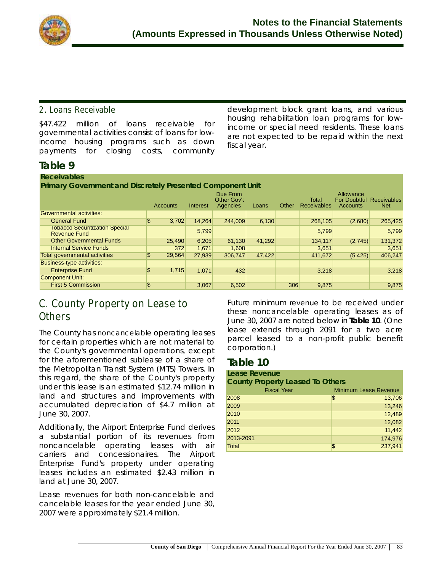

## **2. Loans Receivable**

\$47.422 million of loans receivable for governmental activities consist of loans for lowincome housing programs such as down payments for closing costs, community development block grant loans, and various housing rehabilitation loan programs for lowincome or special need residents. These loans are not expected to be repaid within the next fiscal year.

## **Table 9**

| <b>Receivables</b>                                           |              |          |                                            |        |       |                             |                       |                                         |
|--------------------------------------------------------------|--------------|----------|--------------------------------------------|--------|-------|-----------------------------|-----------------------|-----------------------------------------|
| Primary Government and Discretely Presented Component Unit   |              |          |                                            |        |       |                             |                       |                                         |
|                                                              | Accounts     | Interest | Due From<br><b>Other Gov't</b><br>Agencies | Loans  | Other | Total<br><b>Receivables</b> | Allowance<br>Accounts | <b>For Doubtful Receivables</b><br>Net. |
| Governmental activities:                                     |              |          |                                            |        |       |                             |                       |                                         |
| <b>General Fund</b>                                          | 3,702<br>\$  | 14.264   | 244.009                                    | 6,130  |       | 268,105                     | (2,680)               | 265,425                                 |
| <b>Tobacco Securitization Special</b><br><b>Revenue Fund</b> |              | 5,799    |                                            |        |       | 5,799                       |                       | 5,799                                   |
| <b>Other Governmental Funds</b>                              | 25,490       | 6,205    | 61,130                                     | 41,292 |       | 134,117                     | (2,745)               | 131,372                                 |
| <b>Internal Service Funds</b>                                | 372          | 1.671    | 1,608                                      |        |       | 3,651                       |                       | 3,651                                   |
| <b>Total governmental activities</b>                         | \$<br>29.564 | 27,939   | 306,747                                    | 47,422 |       | 411,672                     | (5, 425)              | 406,247                                 |
| <b>Business-type activities:</b>                             |              |          |                                            |        |       |                             |                       |                                         |
| <b>Enterprise Fund</b>                                       | \$<br>1,715  | 1.071    | 432                                        |        |       | 3.218                       |                       | 3,218                                   |
| <b>Component Unit:</b>                                       |              |          |                                            |        |       |                             |                       |                                         |
| <b>First 5 Commission</b>                                    | \$           | 3.067    | 6,502                                      |        | 306   | 9.875                       |                       | 9,875                                   |

## **C. County Property on Lease to Others**

The County has *noncancelable* operating leases for certain properties which are not material to the County's governmental operations, except for the aforementioned sublease of a share of the Metropolitan Transit System (MTS) Towers. In this regard, the share of the County's property under this lease is an estimated \$12.74 million in land and structures and improvements with accumulated depreciation of \$4.7 million at June 30, 2007.

Additionally, the Airport Enterprise Fund derives a substantial portion of its revenues from noncancelable operating leases with air carriers and concessionaires. The Airport Enterprise Fund's property under operating leases includes an estimated \$2.43 million in land at June 30, 2007.

Lease revenues for both non-cancelable and cancelable leases for the year ended June 30, 2007 were approximately \$21.4 million.

Future minimum *revenue* to be received under these noncancelable operating leases as of June 30, 2007 are noted below in **Table 10**. (One lease extends through 2091 for a two acre parcel leased to a non-profit public benefit corporation.)

## **Table 10**

#### **Lease Revenue County Property Leased To Others**

| .,           | <b>Fiscal Year</b> | <b>Minimum Lease Revenue</b> |
|--------------|--------------------|------------------------------|
| 2008         | \$                 | 13,706                       |
| 2009         |                    | 13,246                       |
| 2010         |                    | 12,489                       |
| 2011         |                    | 12,082                       |
| 2012         |                    | 11,442                       |
| 2013-2091    |                    | 174,976                      |
| <b>Total</b> | \$                 | 237,941                      |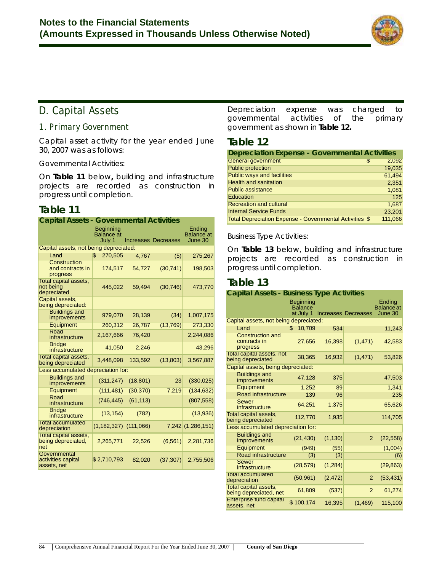

## **D. Capital Assets**

### **1. Primary Government**

Capital asset activity for the year ended June 30, 2007 was as follows:

#### *Governmental Activities*:

On **Table 11** below**,** building and infrastructure projects are recorded as construction in progress until completion.

## **Table 11**

| <b>Capital Assets - Governmental Activities</b>    |                                                 |           |                            |                                 |
|----------------------------------------------------|-------------------------------------------------|-----------|----------------------------|---------------------------------|
|                                                    | <b>Beginning</b><br><b>Balance</b> at<br>July 1 |           | <b>Increases Decreases</b> | Ending<br>Balance at<br>June 30 |
| Capital assets, not being depreciated:             |                                                 |           |                            |                                 |
| Land                                               | 270.505<br>$\mathbb{S}$                         | 4,767     | (5)                        | 275,267                         |
| Construction<br>and contracts in<br>progress       | 174,517                                         | 54,727    | (30, 741)                  | 198,503                         |
| Total capital assets,<br>not being<br>depreciated  | 445,022                                         | 59,494    | (30, 746)                  | 473,770                         |
| <b>Capital assets,</b><br>being depreciated:       |                                                 |           |                            |                                 |
| <b>Buildings and</b><br>improvements               | 979,070                                         | 28,139    | (34)                       | 1,007,175                       |
| Equipment                                          | 260,312                                         | 26,787    | (13, 769)                  | 273,330                         |
| Road<br>infrastructure                             | 2,167,666                                       | 76,420    |                            | 2,244,086                       |
| <b>Bridge</b><br>infrastructure                    | 41,050                                          | 2,246     |                            | 43,296                          |
| Total capital assets,<br>being depreciated         | 3,448,098                                       | 133,592   | (13, 803)                  | 3,567,887                       |
| Less accumulated depreciation for:                 |                                                 |           |                            |                                 |
| <b>Buildings and</b><br>improvements               | (311, 247)                                      | (18, 801) | 23                         | (330, 025)                      |
| Equipment                                          | (111, 481)                                      | (30, 370) | 7.219                      | (134, 632)                      |
| Road<br>infrastructure                             | (746, 445)                                      | (61, 113) |                            | (807, 558)                      |
| <b>Bridge</b><br>infrastructure                    | (13, 154)                                       | (782)     |                            | (13,936)                        |
| <b>Total accumulated</b><br>depreciation           | $(1, 182, 327)$ $(111, 066)$                    |           |                            | 7,242 (1,286,151)               |
| Total capital assets,<br>being depreciated,<br>net | 2,265,771                                       | 22,526    | (6, 561)                   | 2,281,736                       |
| Governmental<br>activities capital<br>assets, net  | \$2,710,793                                     | 82,020    | (37, 307)                  | 2,755,506                       |

Depreciation expense was charged to governmental activities of the primary government as shown in **Table 12.**

## **Table 12**

| <b>Depreciation Expense - Governmental Activities</b>   |             |  |  |
|---------------------------------------------------------|-------------|--|--|
| <b>General government</b>                               | 2,092<br>\$ |  |  |
| <b>Public protection</b>                                | 19,035      |  |  |
| <b>Public ways and facilities</b>                       | 61.494      |  |  |
| <b>Health and sanitation</b>                            | 2,351       |  |  |
| <b>Public assistance</b>                                | 1,081       |  |  |
| Education                                               | 125         |  |  |
| <b>Recreation and cultural</b>                          | 1,687       |  |  |
| <b>Internal Service Funds</b>                           | 23.201      |  |  |
| Total Depreciation Expense - Governmental Activities \$ | 111.066     |  |  |

#### *Business Type Activities*:

On **Table 13** below, building and infrastructure projects are recorded as construction in progress until completion.

## **Table 13**

| <b>Capital Assets - Business Type Activities</b>       |                                                 |          |                            |                                        |
|--------------------------------------------------------|-------------------------------------------------|----------|----------------------------|----------------------------------------|
|                                                        | <b>Beginning</b><br><b>Balance</b><br>at July 1 |          | <b>Increases Decreases</b> | Ending<br><b>Balance</b> at<br>June 30 |
| Capital assets, not being depreciated:                 |                                                 |          |                            |                                        |
| Land                                                   | 10,709<br>\$.                                   | 534      |                            | 11,243                                 |
| <b>Construction and</b><br>contracts in<br>progress    | 27,656                                          | 16,398   | (1, 471)                   | 42,583                                 |
| <b>Total capital assets, not</b><br>being depreciated  | 38,365                                          | 16,932   | (1, 471)                   | 53,826                                 |
| Capital assets, being depreciated:                     |                                                 |          |                            |                                        |
| <b>Buildings and</b><br>improvements                   | 47,128                                          | 375      |                            | 47,503                                 |
| Equipment                                              | 1,252                                           | 89       |                            | 1,341                                  |
| Road infrastructure                                    | 139                                             | 96       |                            | 235                                    |
| <b>Sewer</b><br>infrastructure                         | 64,251                                          | 1,375    |                            | 65,626                                 |
| <b>Total capital assets,</b><br>being depreciated      | 112,770                                         | 1,935    |                            | 114,705                                |
| Less accumulated depreciation for:                     |                                                 |          |                            |                                        |
| <b>Buildings and</b><br>improvements                   | (21, 430)                                       | (1, 130) | $\overline{2}$             | (22, 558)                              |
| Equipment                                              | (949)                                           | (55)     |                            | (1,004)                                |
| Road infrastructure                                    | (3)                                             | (3)      |                            | (6)                                    |
| <b>Sewer</b><br>infrastructure                         | (28, 579)                                       | (1, 284) |                            | (29, 863)                              |
| <b>Total accumulated</b><br>depreciation               | (50, 961)                                       | (2, 472) | $\overline{2}$             | (53, 431)                              |
| <b>Total capital assets,</b><br>being depreciated, net | 61,809                                          | (537)    | $\overline{2}$             | 61,274                                 |
| <b>Enterprise fund capital</b><br>assets, net          | \$100,174                                       | 16,395   | (1, 469)                   | 115,100                                |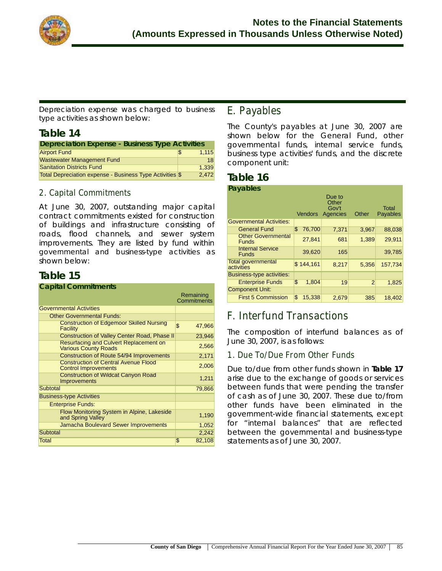

*Depreciation expense* was charged to *business type activities* as shown below:

## **Table 14**

| <b>Depreciation Expense - Business Type Activities</b>   |   |       |  |
|----------------------------------------------------------|---|-------|--|
| <b>Airport Fund</b>                                      | S | 1.115 |  |
| <b>Wastewater Management Fund</b>                        |   | 18    |  |
| <b>Sanitation Districts Fund</b>                         |   | 1.339 |  |
| Total Depreciation expense - Business Type Activities \$ |   | 2.472 |  |

## **2. Capital Commitments**

At June 30, 2007, outstanding major capital contract commitments existed for construction of buildings and infrastructure consisting of roads, flood channels, and sewer system improvements. They are listed by fund within *governmental and business-type activities* as shown below:

## **Table 15**

#### **Capital Commitments**

|                                                                              | Remaining<br>Commitments |
|------------------------------------------------------------------------------|--------------------------|
| <b>Governmental Activities</b>                                               |                          |
| <b>Other Governmental Funds:</b>                                             |                          |
| <b>Construction of Edgemoor Skilled Nursing</b><br>Facility                  | \$<br>47,966             |
| Construction of Valley Center Road, Phase II                                 | 23,946                   |
| <b>Resurfacing and Culvert Replacement on</b><br><b>Various County Roads</b> | 2,566                    |
| Construction of Route 54/94 Improvements                                     | 2,171                    |
| <b>Construction of Central Avenue Flood</b><br><b>Control Improvements</b>   | 2,006                    |
| <b>Construction of Wildcat Canyon Road</b><br><b>Improvements</b>            | 1,211                    |
| <b>Subtotal</b>                                                              | 79,866                   |
| <b>Business-type Activities</b>                                              |                          |
| <b>Enterprise Funds:</b>                                                     |                          |
| Flow Monitoring System in Alpine, Lakeside<br>and Spring Valley              | 1,190                    |
| Jamacha Boulevard Sewer Improvements                                         | 1,052                    |
| Subtotal                                                                     | 2,242                    |
| Total                                                                        | \$<br>82,108             |

## **E. Payables**

The County's payables at June 30, 2007 are shown below for the General Fund, other governmental funds, internal service funds, business type activities' funds, and the discrete component unit:

#### **Table 16 Payables**

| i uyuwiyo                                 |                | Due to                     |       |                          |
|-------------------------------------------|----------------|----------------------------|-------|--------------------------|
|                                           | <b>Vendors</b> | Other<br>Gov't<br>Agencies | Other | <b>Total</b><br>Payables |
| <b>Governmental Activities:</b>           |                |                            |       |                          |
| <b>General Fund</b>                       | 76,700<br>\$   | 7,371                      | 3,967 | 88,038                   |
| <b>Other Governmental</b><br><b>Funds</b> | 27,841         | 681                        | 1,389 | 29.911                   |
| <b>Internal Service</b><br><b>Funds</b>   | 39,620         | 165                        |       | 39,785                   |
| <b>Total governmental</b><br>activities   | \$144,161      | 8,217                      | 5,356 | 157,734                  |
| Business-type activities:                 |                |                            |       |                          |
| <b>Enterprise Funds</b>                   | \$<br>1,804    | 19                         | 2     | 1,825                    |
| <b>Component Unit:</b>                    |                |                            |       |                          |
| <b>First 5 Commission</b>                 | \$<br>15,338   | 2,679                      | 385   | 18,402                   |

## **F. Interfund Transactions**

The composition of interfund balances as of June 30, 2007, is as follows:

## **1. Due To/Due From Other Funds**

Due to/due from other funds shown in **Table 17** arise due to the exchange of goods or services between funds that were pending the transfer of cash as of June 30, 2007. These due to/from other funds have been eliminated in the government-wide financial statements, except for "internal balances" that are reflected between the governmental and business-type statements as of June 30, 2007.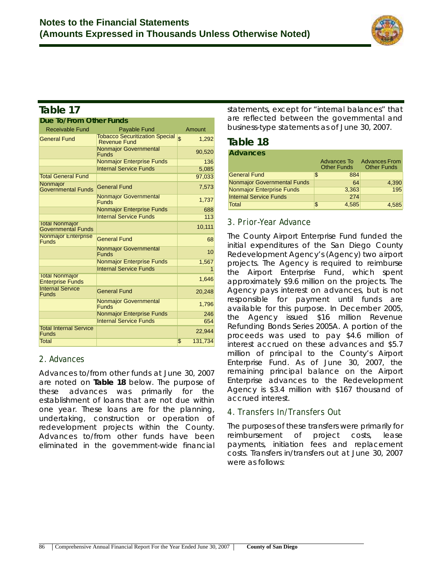

## **Table 17**

| Due To/From Other Funds                            |                                                              |                         |  |  |
|----------------------------------------------------|--------------------------------------------------------------|-------------------------|--|--|
| <b>Receivable Fund</b>                             | <b>Payable Fund</b>                                          | Amount                  |  |  |
| <b>General Fund</b>                                | <b>Tobacco Securitization Special</b><br><b>Revenue Fund</b> | $\mathfrak{L}$<br>1.292 |  |  |
|                                                    | <b>Nonmajor Governmental</b><br><b>Funds</b>                 | 90,520                  |  |  |
|                                                    | <b>Nonmajor Enterprise Funds</b>                             | 136                     |  |  |
|                                                    | <b>Internal Service Funds</b>                                | 5,085                   |  |  |
| <b>Total General Fund</b>                          |                                                              | 97,033                  |  |  |
| Nonmajor<br><b>Governmental Funds</b>              | <b>General Fund</b>                                          | 7,573                   |  |  |
|                                                    | <b>Nonmajor Governmental</b><br><b>Funds</b>                 | 1,737                   |  |  |
|                                                    | <b>Nonmajor Enterprise Funds</b>                             | 688                     |  |  |
|                                                    | <b>Internal Service Funds</b>                                | 113                     |  |  |
| <b>Total Nonmajor</b><br><b>Governmental Funds</b> |                                                              | 10,111                  |  |  |
| <b>Nonmajor Enterprise</b><br><b>Funds</b>         | <b>General Fund</b>                                          | 68                      |  |  |
|                                                    | <b>Nonmajor Governmental</b><br><b>Funds</b>                 | 10 <sup>1</sup>         |  |  |
|                                                    | <b>Nonmajor Enterprise Funds</b>                             | 1,567                   |  |  |
|                                                    | <b>Internal Service Funds</b>                                | 1                       |  |  |
| <b>Total Nonmajor</b><br><b>Enterprise Funds</b>   |                                                              | 1,646                   |  |  |
| <b>Internal Service</b><br><b>Funds</b>            | <b>General Fund</b>                                          | 20,248                  |  |  |
|                                                    | <b>Nonmajor Governmental</b><br><b>Funds</b>                 | 1,796                   |  |  |
|                                                    | <b>Nonmajor Enterprise Funds</b>                             | 246                     |  |  |
|                                                    | <b>Internal Service Funds</b>                                | 654                     |  |  |
| <b>Total Internal Service</b><br><b>Funds</b>      |                                                              | 22,944                  |  |  |
| Total                                              |                                                              | \$<br>131,734           |  |  |

## **2. Advances**

Advances to/from other funds at June 30, 2007 are noted on **Table 18** below. The purpose of these advances was primarily for the establishment of loans that are not due within one year. These loans are for the planning, undertaking, construction or operation of redevelopment projects within the County. Advances to/from other funds have been eliminated in the government-wide financial statements, except for "internal balances" that are reflected between the governmental and business-type statements as of June 30, 2007.

## **Table 18**

| <b>Advances</b>                    |                                   |                                            |
|------------------------------------|-----------------------------------|--------------------------------------------|
|                                    | Advances To<br><b>Other Funds</b> | <b>Advances From</b><br><b>Other Funds</b> |
| <b>General Fund</b>                | 884<br>\$                         |                                            |
| <b>Nonmajor Governmental Funds</b> | 64                                | 4,390                                      |
| <b>Nonmajor Enterprise Funds</b>   | 3,363                             | 195                                        |
| <b>Internal Service Funds</b>      | 274                               |                                            |
| <b>Total</b>                       | 4.585                             | 4.585                                      |

## **3. Prior-Year Advance**

The County Airport Enterprise Fund funded the initial expenditures of the San Diego County Redevelopment Agency's (Agency) two airport projects. The Agency is required to reimburse the Airport Enterprise Fund, which spent approximately \$9.6 million on the projects. The Agency pays interest on advances, but is not responsible for payment until funds are available for this purpose. In December 2005, the Agency issued \$16 million Revenue Refunding Bonds Series 2005A. A portion of the proceeds was used to pay \$4.6 million of interest accrued on these advances and \$5.7 million of principal to the County's Airport Enterprise Fund. As of June 30, 2007, the remaining principal balance on the Airport Enterprise advances to the Redevelopment Agency is \$3.4 million with \$167 thousand of accrued interest.

## **4. Transfers In/Transfers Out**

The purposes of these transfers were primarily for reimbursement of project costs, lease payments, initiation fees and replacement costs. Transfers in/transfers out at June 30, 2007 were as follows: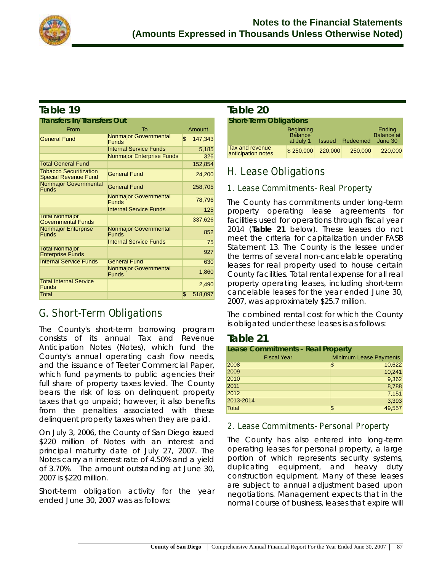

## **Table 19**

| <b>Transfers In/Transfers Out</b>                            |                                              |               |  |  |
|--------------------------------------------------------------|----------------------------------------------|---------------|--|--|
| From                                                         | T <sub>0</sub>                               | Amount        |  |  |
| <b>General Fund</b>                                          | <b>Nonmajor Governmental</b><br><b>Funds</b> | \$<br>147,343 |  |  |
|                                                              | <b>Internal Service Funds</b>                | 5,185         |  |  |
|                                                              | <b>Nonmajor Enterprise Funds</b>             | 326           |  |  |
| <b>Total General Fund</b>                                    |                                              | 152,854       |  |  |
| <b>Tobacco Securitization</b><br><b>Special Revenue Fund</b> | <b>General Fund</b>                          | 24,200        |  |  |
| <b>Nonmajor Governmental</b><br><b>Funds</b>                 | <b>General Fund</b>                          | 258,705       |  |  |
|                                                              | <b>Nonmajor Governmental</b><br><b>Funds</b> | 78,796        |  |  |
|                                                              | <b>Internal Service Funds</b>                | 125           |  |  |
| <b>Total Nonmajor</b><br>Governmental Funds                  |                                              | 337,626       |  |  |
| <b>Nonmajor Enterprise</b><br><b>Funds</b>                   | <b>Nonmajor Governmental</b><br><b>Funds</b> | 852           |  |  |
|                                                              | <b>Internal Service Funds</b>                | 75            |  |  |
| <b>Total Nonmajor</b><br><b>Enterprise Funds</b>             |                                              | 927           |  |  |
| <b>Internal Service Funds</b>                                | <b>General Fund</b>                          | 630           |  |  |
|                                                              | <b>Nonmajor Governmental</b><br><b>Funds</b> | 1,860         |  |  |
| <b>Total Internal Service</b><br><b>Funds</b>                |                                              | 2,490         |  |  |
| Total                                                        |                                              | \$<br>518,097 |  |  |

## **G. Short-Term Obligations**

The County's short-term borrowing program consists of its annual Tax and Revenue Anticipation Notes (Notes), which fund the County's annual operating cash flow needs, and the issuance of Teeter Commercial Paper, which fund payments to public agencies their full share of property taxes levied. The County bears the risk of loss on delinquent property taxes that go unpaid; however, it also benefits from the penalties associated with these delinquent property taxes when they are paid.

On July 3, 2006, the County of San Diego issued \$220 million of Notes with an interest and principal maturity date of July 27, 2007. The Notes carry an interest rate of 4.50% and a yield of 3.70%. The amount outstanding at June 30, 2007 is \$220 million.

Short-term obligation activity for the year ended June 30, 2007 was as follows:

## **Table 20**

| <b>Short-Term Obligations</b>                |                                                 |         |                        |                                 |  |  |
|----------------------------------------------|-------------------------------------------------|---------|------------------------|---------------------------------|--|--|
|                                              | <b>Beginning</b><br><b>Balance</b><br>at July 1 |         | <b>Issued</b> Redeemed | Ending<br>Balance at<br>June 30 |  |  |
| <b>Tax and revenue</b><br>anticipation notes | \$250,000                                       | 220,000 | 250,000                | 220,000                         |  |  |

## **H. Lease Obligations**

## **1. Lease Commitments- Real Property**

The County has commitments under long-term property operating lease agreements for facilities used for operations through fiscal year 2014 (**Table 21** below). These leases do not meet the criteria for capitalization under FASB Statement 13. The County is the lessee under the terms of several non-cancelable operating leases for real property used to house certain County facilities. Total rental expense for all real property operating leases, including short-term cancelable leases for the year ended June 30, 2007, was approximately \$25.7 million.

The combined rental cost for which the County is obligated under these leases is as follows:

## **Table 21**

| <b>Lease Commitments - Real Property</b> |                               |
|------------------------------------------|-------------------------------|
| <b>Fiscal Year</b>                       | <b>Minimum Lease Payments</b> |
| 2008                                     | 10,622<br>\$                  |
| 2009                                     | 10,241                        |
| 2010                                     | 9,362                         |
| 2011                                     | 8,788                         |
| 2012                                     | 7,151                         |
| 2013-2014                                | 3,393                         |
| Total                                    | 49,557<br>$\mathfrak{F}$      |

## **2. Lease Commitments- Personal Property**

The County has also entered into long-term operating leases for personal property, a large portion of which represents security systems, duplicating equipment, and heavy duty construction equipment. Many of these leases are subject to annual adjustment based upon negotiations. Management expects that in the normal course of business, leases that expire will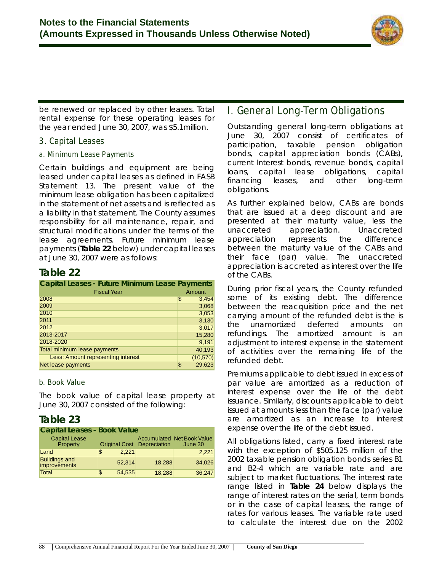

be renewed or replaced by other leases. Total rental expense for these operating leases for the year ended June 30, 2007, was \$5.1million.

### **3. Capital Leases**

#### **a. Minimum Lease Payments**

Certain buildings and equipment are being leased under capital leases as defined in FASB Statement 13. The present value of the minimum lease obligation has been capitalized in the statement of net assets and is reflected as a liability in that statement. The County assumes responsibility for all maintenance, repair, and structural modifications under the terms of the lease agreements. Future minimum lease payments (**Table 22** below) under capital leases at June 30, 2007 were as follows:

## **Table 22**

| <b>Capital Leases - Future Minimum Lease Payments</b> |              |  |  |  |
|-------------------------------------------------------|--------------|--|--|--|
| <b>Fiscal Year</b>                                    | Amount       |  |  |  |
| 2008                                                  | \$<br>3,454  |  |  |  |
| 2009                                                  | 3,068        |  |  |  |
| 2010                                                  | 3,053        |  |  |  |
| 2011                                                  | 3,130        |  |  |  |
| 2012                                                  | 3,017        |  |  |  |
| 2013-2017                                             | 15,280       |  |  |  |
| 2018-2020                                             | 9,191        |  |  |  |
| <b>Total minimum lease payments</b>                   | 40,193       |  |  |  |
| Less: Amount representing interest                    | (10, 570)    |  |  |  |
| Net lease payments                                    | 29,623<br>\$ |  |  |  |

#### **b. Book Value**

The book value of capital lease property at June 30, 2007 consisted of the following:

## **Table 23**

| <b>Capital Leases - Book Value</b>   |                                   |        |                                              |  |  |  |  |
|--------------------------------------|-----------------------------------|--------|----------------------------------------------|--|--|--|--|
| <b>Capital Lease</b><br>Property     | <b>Original Cost Depreciation</b> |        | <b>Accumulated Net Book Value</b><br>June 30 |  |  |  |  |
| Land                                 | 2.221<br>\$                       |        | 2,221                                        |  |  |  |  |
| <b>Buildings and</b><br>improvements | 52,314                            | 18,288 | 34.026                                       |  |  |  |  |
| Total                                | 54,535<br>\$                      | 18,288 | 36,247                                       |  |  |  |  |

## **I. General Long-Term Obligations**

Outstanding general long-term obligations at June 30, 2007 consist of certificates of participation, taxable pension obligation bonds, capital appreciation bonds (CABs), current Interest bonds, revenue bonds, capital loans, capital lease obligations, capital financing leases, and other long-term obligations.

As further explained below, CABs are bonds that are issued at a deep discount and are presented at their maturity value, less the unaccreted appreciation. Unaccreted appreciation represents the difference between the maturity value of the CABs and their face (par) value. The unaccreted appreciation is accreted as interest over the life of the CABs.

During prior fiscal years, the County refunded some of its existing debt. The difference between the reacquisition price and the net carrying amount of the refunded debt is the is the unamortized deferred amounts on refundings. The amortized amount is an adjustment to interest expense in the statement of activities over the remaining life of the refunded debt.

Premiums applicable to debt issued in excess of par value are amortized as a reduction of interest expense over the life of the debt issuance. Similarly, discounts applicable to debt issued at amounts less than the face (par) value are amortized as an increase to interest expense over the life of the debt issued.

All obligations listed, carry a fixed interest rate with the exception of \$505.125 million of the 2002 taxable pension obligation bonds series B1 and B2-4 which are variable rate and are subject to market fluctuations. The interest rate range listed in **Table 24** below displays the range of interest rates on the serial, term bonds or in the case of capital leases, the range of rates for various leases. The variable rate used to calculate the interest due on the 2002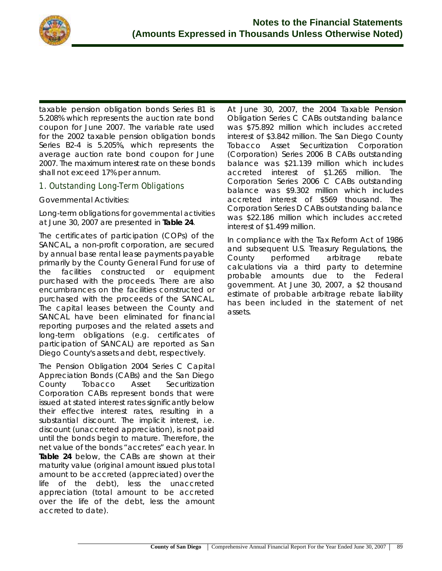

taxable pension obligation bonds Series B1 is 5.208% which represents the auction rate bond coupon for June 2007. The variable rate used for the 2002 taxable pension obligation bonds Series B2-4 is 5.205%, which represents the average auction rate bond coupon for June 2007. The maximum interest rate on these bonds shall not exceed 17% per annum.

## **1. Outstanding Long-Term Obligations**

#### *Governmental Activities*:

Long-term obligations for *governmental activities* at June 30, 2007 are presented in **Table 24**.

The certificates of participation (COPs) of the SANCAL, a non-profit corporation, are secured by annual base rental lease payments payable primarily by the County General Fund for use of the facilities constructed or equipment purchased with the proceeds. There are also encumbrances on the facilities constructed or purchased with the proceeds of the SANCAL. The capital leases between the County and SANCAL have been eliminated for financial reporting purposes and the related assets and long-term obligations (e.g. certificates of participation of SANCAL) are reported as San Diego County's assets and debt, respectively.

The Pension Obligation 2004 Series C Capital Appreciation Bonds (CABs) and the San Diego County Tobacco Asset Securitization Corporation CABs represent bonds that were issued at stated interest rates significantly below their effective interest rates, resulting in a substantial discount. The implicit interest, i.e. discount (unaccreted appreciation), is not paid until the bonds begin to mature. Therefore, the net value of the bonds "accretes" each year. In **Table 24** below, the CABs are shown at their maturity value (original amount issued plus total amount to be accreted (appreciated) over the life of the debt), less the unaccreted appreciation (total amount to be accreted over the life of the debt, less the amount accreted to date).

At June 30, 2007, the 2004 Taxable Pension Obligation Series C CABs outstanding balance was \$75.892 million which includes accreted interest of \$3.842 million. The San Diego County Tobacco Asset Securitization Corporation (Corporation) Series 2006 B CABs outstanding balance was \$21.139 million which includes accreted interest of \$1.265 million. The Corporation Series 2006 C CABs outstanding balance was \$9.302 million which includes accreted interest of \$569 thousand. The Corporation Series D CABs outstanding balance was \$22.186 million which includes accreted interest of \$1.499 million.

In compliance with the Tax Reform Act of 1986 and subsequent U.S. Treasury Regulations, the County performed arbitrage rebate calculations via a third party to determine probable amounts due to the Federal government. At June 30, 2007, a \$2 thousand estimate of probable arbitrage rebate liability has been included in the statement of net assets.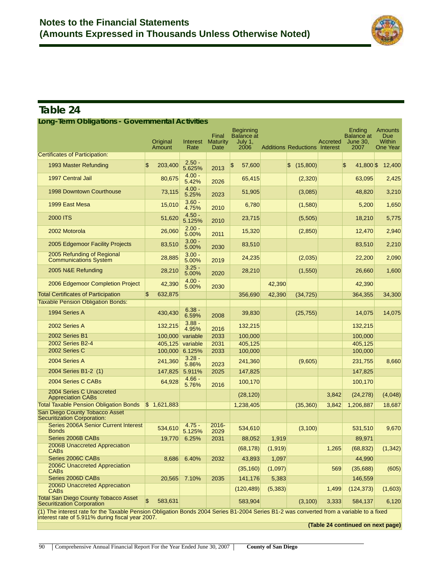

## **Table 24**

| Long-Term Obligations - Governmental Activities                                                                                         |                |                         |                         |                                  |                                                          |          |                                      |          |                                                        |                                                           |
|-----------------------------------------------------------------------------------------------------------------------------------------|----------------|-------------------------|-------------------------|----------------------------------|----------------------------------------------------------|----------|--------------------------------------|----------|--------------------------------------------------------|-----------------------------------------------------------|
|                                                                                                                                         |                | Original<br>Amount      | <b>Interest</b><br>Rate | Final<br><b>Maturity</b><br>Date | <b>Beginning</b><br><b>Balance</b> at<br>July 1,<br>2006 |          | <b>Additions Reductions Interest</b> | Accreted | Ending<br><b>Balance at</b><br><b>June 30.</b><br>2007 | <b>Amounts</b><br><b>Due</b><br><b>Within</b><br>One Year |
| <b>Certificates of Participation:</b>                                                                                                   |                |                         |                         |                                  |                                                          |          |                                      |          |                                                        |                                                           |
| 1993 Master Refunding                                                                                                                   | $\mathsf{\$}$  | 203,400                 | $2.50 -$<br>5.625%      | 2013                             | \$<br>57,600                                             |          | \$(15,800)                           |          | \$<br>41,800 \$                                        | 12,400                                                    |
| 1997 Central Jail                                                                                                                       |                | 80,675                  | $4.00 -$<br>5.42%       | 2026                             | 65,415                                                   |          | (2,320)                              |          | 63,095                                                 | 2,425                                                     |
| <b>1998 Downtown Courthouse</b>                                                                                                         |                | 73,115                  | $4.00 -$<br>5.25%       | 2023                             | 51,905                                                   |          | (3,085)                              |          | 48,820                                                 | 3,210                                                     |
| 1999 East Mesa                                                                                                                          |                | 15,010                  | $3.60 -$<br>4.75%       | 2010                             | 6,780                                                    |          | (1,580)                              |          | 5,200                                                  | 1,650                                                     |
| <b>2000 ITS</b>                                                                                                                         |                | 51,620                  | $4.50 -$<br>5.125%      | 2010                             | 23,715                                                   |          | (5,505)                              |          | 18,210                                                 | 5,775                                                     |
| 2002 Motorola                                                                                                                           |                | 26,060                  | $2.00 -$<br>5.00%       | 2011                             | 15,320                                                   |          | (2,850)                              |          | 12,470                                                 | 2,940                                                     |
| 2005 Edgemoor Facility Projects                                                                                                         |                | 83,510                  | $3.00 -$<br>5.00%       | 2030                             | 83,510                                                   |          |                                      |          | 83,510                                                 | 2,210                                                     |
| 2005 Refunding of Regional<br><b>Communications System</b>                                                                              |                | 28,885                  | $3.00 -$<br>5.00%       | 2019                             | 24,235                                                   |          | (2,035)                              |          | 22,200                                                 | 2,090                                                     |
| 2005 N&E Refunding                                                                                                                      |                | 28,210                  | $3.25 -$<br>5.00%       | 2020                             | 28,210                                                   |          | (1,550)                              |          | 26,660                                                 | 1,600                                                     |
| 2006 Edgemoor Completion Project                                                                                                        |                | 42,390                  | $4.00 -$<br>5.00%       | 2030                             |                                                          | 42,390   |                                      |          | 42,390                                                 |                                                           |
| <b>Total Certificates of Participation</b>                                                                                              | $\mathsf{\$}$  | 632,875                 |                         |                                  | 356,690                                                  | 42,390   | (34, 725)                            |          | 364,355                                                | 34,300                                                    |
| <b>Taxable Pension Obligation Bonds:</b>                                                                                                |                |                         |                         |                                  |                                                          |          |                                      |          |                                                        |                                                           |
| 1994 Series A                                                                                                                           |                | 430,430                 | $6.38 -$<br>6.59%       | 2008                             | 39,830                                                   |          | (25, 755)                            |          | 14,075                                                 | 14,075                                                    |
| 2002 Series A                                                                                                                           |                | 132,215                 | $3.88 -$<br>4.95%       | 2016                             | 132,215                                                  |          |                                      |          | 132,215                                                |                                                           |
| 2002 Series B1                                                                                                                          |                | 100,000                 | variable                | 2033                             | 100,000                                                  |          |                                      |          | 100,000                                                |                                                           |
| 2002 Series B2-4                                                                                                                        |                | 405,125                 | variable                | 2031                             | 405,125                                                  |          |                                      |          | 405,125                                                |                                                           |
| 2002 Series C                                                                                                                           |                | 100,000                 | 6.125%                  | 2033                             | 100,000                                                  |          |                                      |          | 100,000                                                |                                                           |
| 2004 Series A                                                                                                                           |                | 241,360                 | $3.28 -$<br>5.86%       | 2023                             | 241,360                                                  |          | (9,605)                              |          | 231,755                                                | 8,660                                                     |
| 2004 Series B1-2 (1)                                                                                                                    |                | 147,825                 | 5.911%                  | 2025                             | 147,825                                                  |          |                                      |          | 147,825                                                |                                                           |
| 2004 Series C CABs                                                                                                                      |                | 64,928                  | $4.66 -$<br>5.76%       | 2016                             | 100,170                                                  |          |                                      |          | 100,170                                                |                                                           |
| 2004 Series C Unaccreted<br><b>Appreciation CABs</b>                                                                                    |                |                         |                         |                                  | (28, 120)                                                |          |                                      | 3,842    | (24, 278)                                              | (4,048)                                                   |
| <b>Total Taxable Pension Obligation Bonds</b>                                                                                           |                | $\frac{1}{2}$ 1,621,883 |                         |                                  | 1,238,405                                                |          | (35,360)                             | 3,842    | 1,206,887                                              | 18,687                                                    |
| San Diego County Tobacco Asset<br><b>Securitization Corporation:</b>                                                                    |                |                         |                         |                                  |                                                          |          |                                      |          |                                                        |                                                           |
| Series 2006A Senior Current Interest<br><b>Bonds</b>                                                                                    |                | 534,610                 | $4.75 -$<br>5.125%      | $2016 -$<br>2029                 | 534,610                                                  |          | (3, 100)                             |          | 531,510                                                | 9,670                                                     |
| Series 2006B CABs                                                                                                                       |                | 19.770                  | 6.25%                   | 2031                             | 88,052                                                   | 1,919    |                                      |          | 89,971                                                 |                                                           |
| 2006B Unaccreted Appreciation<br>CABs                                                                                                   |                |                         |                         |                                  | (68, 178)                                                | (1, 919) |                                      | 1,265    | (68, 832)                                              | (1, 342)                                                  |
| Series 2006C CABs                                                                                                                       |                | 8,686                   | 6.40%                   | 2032                             | 43,893                                                   | 1,097    |                                      |          | 44,990                                                 |                                                           |
| 2006C Unaccreted Appreciation<br><b>CABs</b>                                                                                            |                |                         |                         |                                  | (35, 160)                                                | (1,097)  |                                      | 569      | (35,688)                                               | (605)                                                     |
| Series 2006D CABs                                                                                                                       |                | 20,565                  | 7.10%                   | 2035                             | 141,176                                                  | 5,383    |                                      |          | 146,559                                                |                                                           |
| 2006D Unaccreted Appreciation<br><b>CABs</b>                                                                                            |                |                         |                         |                                  | (120, 489)                                               | (5, 383) |                                      | 1,499    | (124, 373)                                             | (1,603)                                                   |
| <b>Total San Diego County Tobacco Asset</b><br>Securitization Corporation                                                               | $\mathfrak{s}$ | 583,631                 |                         |                                  | 583,904                                                  |          | (3, 100)                             | 3,333    | 584,137                                                | 6,120                                                     |
| (1) The interest rate for the Taxable Pension Obligation Bonds 2004 Series B1-2004 Series B1-2 was converted from a variable to a fixed |                |                         |                         |                                  |                                                          |          |                                      |          |                                                        |                                                           |

(1) The interest rate for the Taxable Pension Obligation Bonds 2004 Series B1-2004 Series B1-2 was converted from a variable to a fixed interest rate of 5.911% during fiscal year 2007.

**(Table 24 continued on next page)**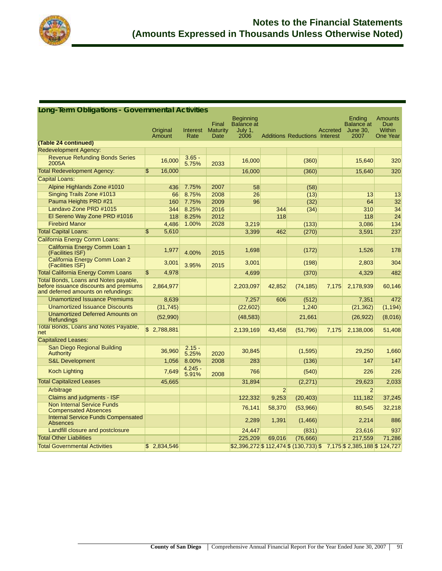

#### **(Table 24 continued)** Redevelopment Agency: Revenue Refunding Bonds Series<br>2005A 16,000 5.75% 5.75% <sup>2033</sup> 16,000 (360) 15,640 <sup>320</sup> Total Redevelopment Agency:  $$ 16,000$  16,000 16,000 (360) 15,640 320 Capital Loans: Alpine Highlands Zone #1010 436 7.75% 2007 58 (58) Singing Trails Zone #1013 **66 8.75% 2008** 26 (13) 13 13 13 Pauma Heights PRD #21 160 7.75% 2009 96 (32) 64 32 Landavo Zone PRD #1015 344 8.25% 2016 344 344 344 344 310 310 34 El Sereno Way Zone PRD #1016 | 118 8.25% 2012 | 118 118 118 118 118 24 Firebird Manor 4,486 1.00% 2028 3,219 (133) 3,086 134 Total Capital Loans: \$ 5,610 3,399 462 (270) 3,591 237 California Energy Comm Loans: California Energy Comm Loan 1<br>(Facilities ISF) Udilities ISF) 1,526 178<br>(Facilities ISF) 1,526 178 California Energy Comm Loan 2 California Energy Commission 2 2,001 3,001 3,95% 2015 3,001 3,001 3,001 304 Total California Energy Comm Loans \$ 4,978 4,699 (370) 4,329 482 Total Bonds, Loans and Notes payable, before issuance discounts and premiums and deferred amounts on refundings: 2,864,977 2,203,097 42,852 (74,185) 7,175 2,178,939 60,146 Unamortized Issuance Premiums 8,639 7,257 606 (512) 7,351 472 Unamortized Issuance Discounts (31,745) (22,602) 1,240 (21,362) (1,194) Unamortized Deferred Amounts on<br>Refundings Priamonized Belefied Amodrits of (62,990) (62,990) (48,583) 21,661 (26,922) (8,016) Total Bonds, Loans and Notes Payable, net *10tal bonds*, Loans and Notes Fayable, \$2,788,881 2,139,169 2,139,169 43,458 (51,796) 7,175 2,138,006 51,408 Capitalized Leases: San Diego Regional Building Authority 36,960 2.15 -  $\begin{array}{|c|c|c|c|c|}\hline 5.25\% & 2020 & 30,845 & (1,595) \ \hline \end{array}$  (1,595) 29,250 1,660 S&L Development 1,056 8.00% 2008 283 (136) 147 147 147 Export Lighting 2.245 - 2.245 - 2.245 - 2.245 - 2.245 - 2.245 - 2.245 - 2.245 - 2.245 - 2.245 - 2.245 - 2.245 - 2.245 - 2.245 - 2.245 - 2.245 - 2.245 - 2.245 - 2.245 - 2.245 - 2.245 - 2.245 - 2.245 - 2.245 - 2.245 - 2.245 <u>5.91% 2008 766 (540)</u> 226 226 226 Total Capitalized Leases 2,033 2,033 2,033 2,033 2,033 2,033 2,033 2,033 2,033 2,033 2,033 Arbitrage 2 2 Claims and judgments - ISF 122,332 9,253 (20,403) 111,182 37,245 Non Internal Service Funds Non Internal Service Funds<br>Compensated Absences The Compensated Absences **76,141 100 (53,966)** 80,545 32,218 Internal Service Funds Compensated nichiai Schice Fanas Sompensated | 2,289 | 2,289 | 1,391 | 1,466) | 2,214 | 886<br>Absences Landfill closure and postclosure 24,447 (831) 23,616 937 Total Other Liabilities 225,209 69,016 (76,666) 217,559 71,286 Total Governmental Activities  $$ 2,834,546$   $$ 32,396,272$  \$ 112,474 \$ (130,733) \$ 7,175 \$ 2,385,188 \$ 124,727 **Long-Term Obligations - Governmental Activities Original** Amount Interest Rate **Final Maturity Date** Beginning Balance at July 1, 2006 Additions Reductions Interest Accreted **Ending** Balance at June 30, 2007 **Amounts** Due Within One Year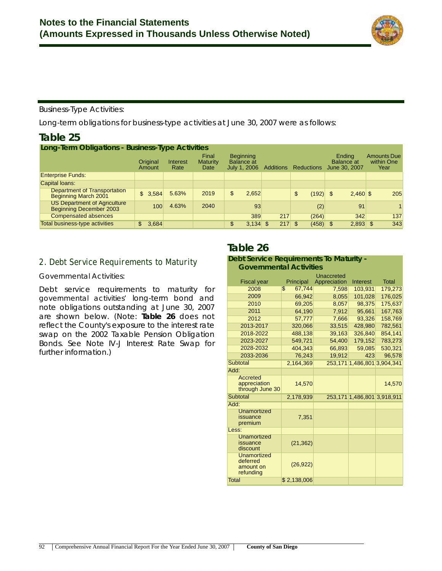

#### *Business-Type Activities*:

Long-term obligations for business-type activities at June 30, 2007 were as follows:

## **Table 25**

| Long-Term Obligations - Business-Type Activities               |                    |                  |                                  |    |                                                       |                  |                   |                                              |                                          |
|----------------------------------------------------------------|--------------------|------------------|----------------------------------|----|-------------------------------------------------------|------------------|-------------------|----------------------------------------------|------------------------------------------|
|                                                                | Original<br>Amount | Interest<br>Rate | Final<br><b>Maturity</b><br>Date |    | <b>Beginning</b><br><b>Balance</b> at<br>July 1, 2006 | <b>Additions</b> | <b>Reductions</b> | Ending<br><b>Balance at</b><br>June 30, 2007 | <b>Amounts Due</b><br>within One<br>Year |
| <b>Enterprise Funds:</b>                                       |                    |                  |                                  |    |                                                       |                  |                   |                                              |                                          |
| Capital loans:                                                 |                    |                  |                                  |    |                                                       |                  |                   |                                              |                                          |
| <b>Department of Transportation</b><br>Beginning March 2001    | \$3,584            | 5.63%            | 2019                             | \$ | 2,652                                                 |                  | (192)<br>\$       | $2,460$ \$<br>$\mathfrak{s}$                 | 205                                      |
| <b>US Department of Agriculture</b><br>Beginning December 2003 | 100                | 4.63%            | 2040                             |    | 93                                                    |                  | (2)               | 91                                           |                                          |
| <b>Compensated absences</b>                                    |                    |                  |                                  |    | 389                                                   | 217              | (264)             | 342                                          | 137                                      |
| <b>Total business-type activities</b>                          | 3,684<br>\$        |                  |                                  | \$ | $3,134$ \$                                            | 217S             |                   | $2,893$ \$<br>$(458)$ \$                     | 343                                      |

### **2. Debt Service Requirements to Maturity**

#### *Governmental Activities*:

Debt service requirements to maturity for *governmental activities'* long-term bond and note obligations outstanding at June 30, 2007 are shown below. (Note: **Table 26** does not reflect the County's exposure to the interest rate swap on the 2002 Taxable Pension Obligation Bonds. See Note IV-J Interest Rate Swap for further information.)

## **Table 26**

## **Debt Service Requirements To Maturity -**

| <b>Governmental Activities</b>                           |              |              |                             |              |  |  |
|----------------------------------------------------------|--------------|--------------|-----------------------------|--------------|--|--|
|                                                          |              | Unaccreted   |                             |              |  |  |
| <b>Fiscal year</b>                                       | Principal    | Appreciation | Interest                    | <b>Total</b> |  |  |
| 2008                                                     | \$<br>67,744 | 7,598        | 103,931                     | 179,273      |  |  |
| 2009                                                     | 66.942       | 8,055        | 101,028                     | 176,025      |  |  |
| 2010                                                     | 69.205       | 8.057        | 98.375                      | 175.637      |  |  |
| 2011                                                     | 64,190       | 7,912        | 95,661                      | 167,763      |  |  |
| 2012                                                     | 57,777       | 7,666        | 93,326                      | 158,769      |  |  |
| 2013-2017                                                | 320.066      | 33.515       | 428.980                     | 782.561      |  |  |
| 2018-2022                                                | 488,138      | 39,163       | 326,840                     | 854,141      |  |  |
| 2023-2027                                                | 549,721      | 54,400       | 179,152                     | 783,273      |  |  |
| 2028-2032                                                | 404,343      | 66,893       | 59,085                      | 530,321      |  |  |
| 2033-2036                                                | 76,243       | 19,912       | 423                         | 96,578       |  |  |
| Subtotal                                                 | 2,164,369    |              | 253,171 1,486,801 3,904,341 |              |  |  |
| Add:                                                     |              |              |                             |              |  |  |
| <b>Accreted</b><br>appreciation<br>through June 30       | 14,570       |              |                             | 14,570       |  |  |
| Subtotal                                                 | 2.178.939    |              | 253,171 1,486,801 3,918,911 |              |  |  |
| Add:                                                     |              |              |                             |              |  |  |
| Unamortized<br>issuance<br>premium                       | 7,351        |              |                             |              |  |  |
| Less:                                                    |              |              |                             |              |  |  |
| <b>Unamortized</b><br>issuance<br>discount               | (21, 362)    |              |                             |              |  |  |
| <b>Unamortized</b><br>deferred<br>amount on<br>refunding | (26, 922)    |              |                             |              |  |  |
| Total                                                    | \$2,138,006  |              |                             |              |  |  |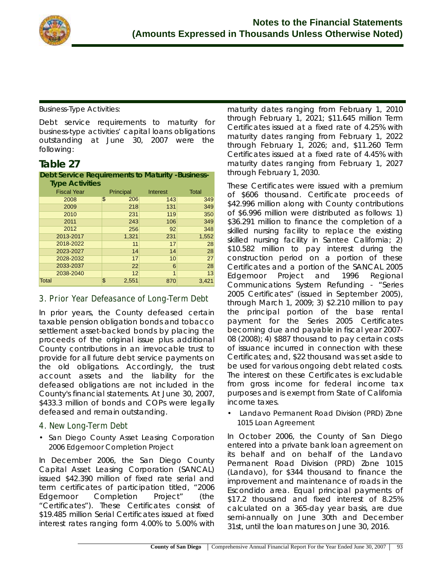

### *Business-Type Activities:*

Debt service requirements to maturity for *business-type activities'* capital loans obligations outstanding at June 30, 2007 were the following:

## **Table 27**

#### **Debt Service Requirements to Maturity -Business-Type Activities**

| <b>Fiscal Year</b> | Principal   | Interest | <b>Total</b> |
|--------------------|-------------|----------|--------------|
| 2008               | \$<br>206   | 143      | 349          |
| 2009               | 218         | 131      | 349          |
| 2010               | 231         | 119      | 350          |
| 2011               | 243         | 106      | 349          |
| 2012               | 256         | 92       | 348          |
| 2013-2017          | 1,321       | 231      | 1,552        |
| 2018-2022          | 11          | 17       | 28           |
| 2023-2027          | 14          | 14       | 28           |
| 2028-2032          | 17          | 10       | 27           |
| 2033-2037          | 22          | 6        | 28           |
| 2038-2040          | 12          | 1        | 13           |
| Total              | \$<br>2,551 | 870      | 3,421        |

## **3. Prior Year Defeasance of Long-Term Debt**

In prior years, the County defeased certain taxable pension obligation bonds and tobacco settlement asset-backed bonds by placing the proceeds of the original issue plus additional County contributions in an irrevocable trust to provide for all future debt service payments on the old obligations. Accordingly, the trust account assets and the liability for the defeased obligations are not included in the County's financial statements. At June 30, 2007, \$433.3 million of bonds and COPs were legally defeased and remain outstanding.

## **4. New Long-Term Debt**

• *San Diego County Asset Leasing Corporation 2006 Edgemoor Completion Project*

In December 2006, the San Diego County Capital Asset Leasing Corporation (SANCAL) issued \$42.390 million of fixed rate serial and term certificates of participation titled, "2006 Edgemoor Completion Project" (the "Certificates"). These Certificates consist of \$19.485 million Serial Certificates issued at fixed interest rates ranging form 4.00% to 5.00% with maturity dates ranging from February 1, 2010 through February 1, 2021; \$11.645 million Term Certificates issued at a fixed rate of 4.25% with maturity dates ranging from February 1, 2022 through February 1, 2026; and, \$11.260 Term Certificates issued at a fixed rate of 4.45% with maturity dates ranging from February 1, 2027 through February 1, 2030.

These Certificates were issued with a premium of \$606 thousand. Certificate proceeds of \$42.996 million along with County contributions of \$6.996 million were distributed as follows: 1) \$36.291 million to finance the completion of a skilled nursing facility to replace the existing skilled nursing facility in Santee California; 2) \$10.582 million to pay interest during the construction period on a portion of these Certificates and a portion of the SANCAL 2005 Edgemoor Project and 1996 Regional Communications System Refunding - "Series 2005 Certificates" (issued in September 2005), through March 1, 2009; 3) \$2.210 million to pay the principal portion of the base rental payment for the Series 2005 Certificates becoming due and payable in fiscal year 2007- 08 (2008); 4) \$887 thousand to pay certain costs of issuance incurred in connection with these Certificates; and, \$22 thousand was set aside to be used for various ongoing debt related costs. The interest on these Certificates is excludable from gross income for federal income tax purposes and is exempt from State of California income taxes.

• *Landavo Permanent Road Division (PRD) Zone 1015 Loan Agreement* 

In October 2006, the County of San Diego entered into a private bank loan agreement on its behalf and on behalf of the Landavo Permanent Road Division (PRD) Zone 1015 (Landavo), for \$344 thousand to finance the improvement and maintenance of roads in the Escondido area. Equal principal payments of \$17.2 thousand and fixed interest of 8.25% calculated on a 365-day year basis, are due semi-annually on June 30th and December 31st, until the loan matures on June 30, 2016.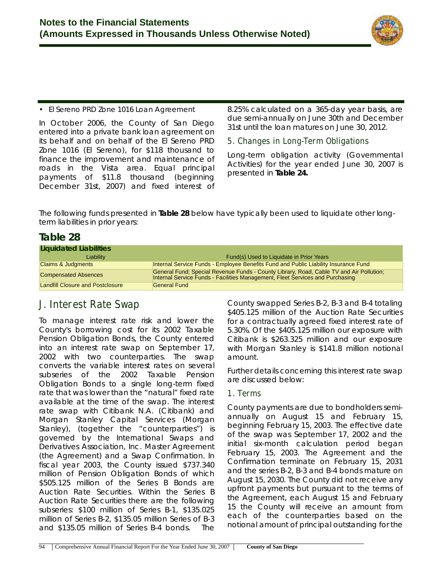

### • *El Sereno PRD Zone 1016 Loan Agreement*

In October 2006, the County of San Diego entered into a private bank loan agreement on its behalf and on behalf of the El Sereno PRD Zone 1016 (El Sereno), for \$118 thousand to finance the improvement and maintenance of roads in the Vista area. Equal principal payments of \$11.8 thousand (beginning December 31st, 2007) and fixed interest of 8.25% calculated on a 365-day year basis, are due semi-annually on June 30th and December 31st until the loan matures on June 30, 2012.

### **5. Changes in Long-Term Obligations**

Long-term obligation activity (Governmental Activities) for the year ended June 30, 2007 is presented in **Table 24.**

The following funds presented in **Table 28** below have typically been used to liquidate other longterm liabilities in prior years:

## **Table 28**

| Liquidated Liabilities                  |                                                                                                                                                                          |
|-----------------------------------------|--------------------------------------------------------------------------------------------------------------------------------------------------------------------------|
| Liability                               | Fund(s) Used to Liquidate in Prior Years                                                                                                                                 |
| <b>Claims &amp; Judgments</b>           | Internal Service Funds - Employee Benefits Fund and Public Liability Insurance Fund                                                                                      |
| <b>Compensated Absences</b>             | General Fund; Special Revenue Funds - County Library, Road, Cable TV and Air Pollution;<br>Internal Service Funds - Facilities Management, Fleet Services and Purchasing |
| <b>Landfill Closure and Postclosure</b> | General Fund                                                                                                                                                             |

## **J. Interest Rate Swap**

To manage interest rate risk and lower the County's borrowing cost for its 2002 Taxable Pension Obligation Bonds, the County entered into an interest rate swap on September 17, 2002 with two counterparties. The swap converts the variable interest rates on several subseries of the 2002 Taxable Pension Obligation Bonds to a single long-term fixed rate that was lower than the "natural" fixed rate available at the time of the swap. The interest rate swap with Citibank N.A. (Citibank) and Morgan Stanley Capital Services (Morgan Stanley), (together the "counterparties") is governed by the International Swaps and Derivatives Association, Inc. Master Agreement (the Agreement) and a Swap Confirmation. In fiscal year 2003, the County issued \$737.340 million of Pension Obligation Bonds of which \$505.125 million of the Series B Bonds are Auction Rate Securities. Within the Series B Auction Rate Securities there are the following subseries: \$100 million of Series B-1, \$135.025 million of Series B-2, \$135.05 million Series of B-3 and \$135.05 million of Series B-4 bonds. The

County swapped Series B-2, B-3 and B-4 totaling \$405.125 million of the Auction Rate Securities for a contractually agreed fixed interest rate of 5.30%. Of the \$405.125 million our exposure with Citibank is \$263.325 million and our exposure with Morgan Stanley is \$141.8 million notional amount.

Further details concerning this interest rate swap are discussed below:

## **1. Terms**

County payments are due to bondholders semiannually on August 15 and February 15, beginning February 15, 2003. The effective date of the swap was September 17, 2002 and the initial six-month calculation period began February 15, 2003. The Agreement and the Confirmation terminate on February 15, 2031 and the series B-2, B-3 and B-4 bonds mature on August 15, 2030. The County did not receive any upfront payments but pursuant to the terms of the Agreement, each August 15 and February 15 the County will receive an amount from each of the counterparties based on the notional amount of principal outstanding for the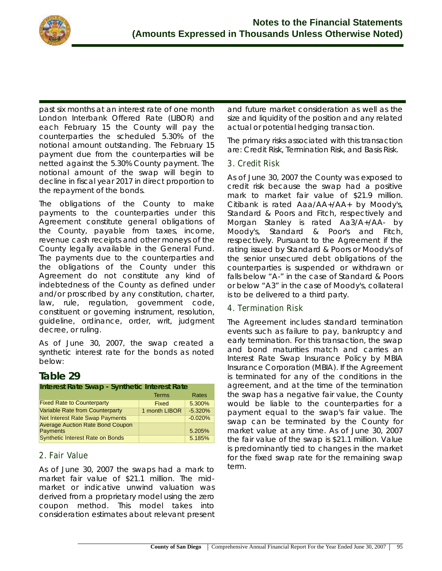

past six months at an interest rate of one month London Interbank Offered Rate (LIBOR) and each February 15 the County will pay the counterparties the scheduled 5.30% of the notional amount outstanding. The February 15 payment due from the counterparties will be netted against the 5.30% County payment. The notional amount of the swap will begin to decline in fiscal year 2017 in direct proportion to the repayment of the bonds.

The obligations of the County to make payments to the counterparties under this Agreement constitute general obligations of the County, payable from taxes, income, revenue cash receipts and other moneys of the County legally available in the General Fund. The payments due to the counterparties and the obligations of the County under this Agreement do not constitute any kind of indebtedness of the County as defined under and/or proscribed by any constitution, charter, law, rule, regulation, government code, constituent or governing instrument, resolution, guideline, ordinance, order, writ, judgment decree, or ruling.

As of June 30, 2007, the swap created a synthetic interest rate for the bonds as noted below:

## **Table 29**

| Interest Rate Swap - Synthetic Interest Rate               |               |           |  |  |  |
|------------------------------------------------------------|---------------|-----------|--|--|--|
|                                                            | <b>Terms</b>  | Rates     |  |  |  |
| <b>Fixed Rate to Counterparty</b>                          | Fixed         | 5.300%    |  |  |  |
| <b>Variable Rate from Counterparty</b>                     | 1 month LIBOR | $-5.320%$ |  |  |  |
| <b>Net Interest Rate Swap Payments</b>                     |               | $-0.020%$ |  |  |  |
| <b>Average Auction Rate Bond Coupon</b><br><b>Payments</b> |               | 5.205%    |  |  |  |
| <b>Synthetic Interest Rate on Bonds</b>                    |               | 5.185%    |  |  |  |

## **2. Fair Value**

As of June 30, 2007 the swaps had a mark to market fair value of \$21.1 million. The midmarket or indicative unwind valuation was derived from a proprietary model using the zero coupon method. This model takes into consideration estimates about relevant present and future market consideration as well as the size and liquidity of the position and any related actual or potential hedging transaction.

The primary risks associated with this transaction are: Credit Risk, Termination Risk, and Basis Risk.

### **3. Credit Risk**

As of June 30, 2007 the County was exposed to credit risk because the swap had a positive mark to market fair value of \$21.9 million. Citibank is rated Aaa/AA+/AA+ by Moody's, Standard & Poors and Fitch, respectively and Morgan Stanley is rated Aa3/A+/AA- by Moody's, Standard & Poor's and Fitch, respectively. Pursuant to the Agreement if the rating issued by Standard & Poors or Moody's of the senior unsecured debt obligations of the counterparties is suspended or withdrawn or falls below "A-" in the case of Standard & Poors or below "A3" in the case of Moody's, collateral is to be delivered to a third party.

## **4. Termination Risk**

The Agreement includes standard termination events such as failure to pay, bankruptcy and early termination. For this transaction, the swap and bond maturities match and carries an Interest Rate Swap Insurance Policy by MBIA Insurance Corporation (MBIA). If the Agreement is terminated for any of the conditions in the agreement, and at the time of the termination the swap has a negative fair value, the County would be liable to the counterparties for a payment equal to the swap's fair value. The swap can be terminated by the County for market value at any time. As of June 30, 2007 the fair value of the swap is \$21.1 million. Value is predominantly tied to changes in the market for the fixed swap rate for the remaining swap term.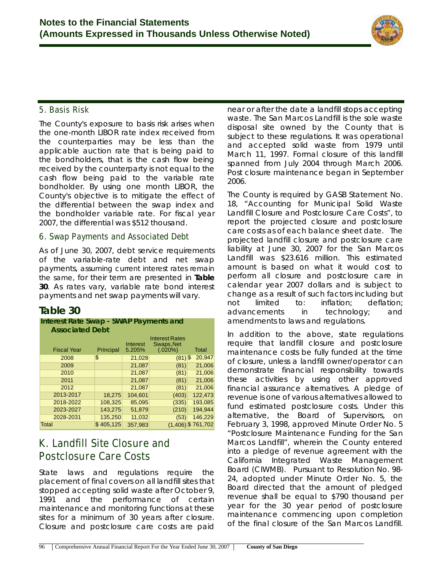

## **5. Basis Risk**

The County's exposure to basis risk arises when the one-month LIBOR rate index received from the counterparties may be less than the applicable auction rate that is being paid to the bondholders, that is the cash flow being received by the counterparty is not equal to the cash flow being paid to the variable rate bondholder. By using one month LIBOR, the County's objective is to mitigate the effect of the differential between the swap index and the bondholder variable rate. For fiscal year 2007, the differential was \$512 thousand.

### **6. Swap Payments and Associated Debt**

As of June 30, 2007, debt service requirements of the variable-rate debt and net swap payments, *assuming current interest rates remain the same*, for their term are presented in **Table 30**. As rates vary, variable rate bond interest payments and net swap payments will vary.

## **Table 30**

#### **Interest Rate Swap - SWAP Payments and Associated Debt**

| <b>Fiscal Year</b> | Principal      | Interest<br>5.205% | <b>Interest Rates</b><br>Swaps, Net<br>(.020%) | Total                |
|--------------------|----------------|--------------------|------------------------------------------------|----------------------|
| 2008               | \$             | 21,028             | $(81)$ \$                                      | 20,947               |
| 2009               |                | 21,087             | (81)                                           | 21,006               |
| 2010               |                | 21,087             | (81)                                           | 21,006               |
| 2011               |                | 21,087             | (81)                                           | 21,006               |
| 2012               |                | 21,087             | (81)                                           | 21,006               |
| 2013-2017          | 18,275         | 104,601            | (403)                                          | 122,473              |
| 2018-2022          | 108,325        | 85,095             | (335)                                          | 193,085              |
| 2023-2027          | 143,275        | 51,879             | (210)                                          | 194,944              |
| 2028-2031          | 135,250        | 11,032             | (53)                                           | 146,229              |
| <b>Total</b>       | 405,125<br>\$. | 357,983            |                                                | $(1,406)$ \$ 761,702 |

## **K. Landfill Site Closure and Postclosure Care Costs**

State laws and regulations require the placement of final covers on all landfill sites that stopped accepting solid waste after October 9, 1991 and the performance of certain maintenance and monitoring functions at these sites for a minimum of 30 years after closure. Closure and postclosure care costs are paid near or after the date a landfill stops accepting waste. The San Marcos Landfill is the sole waste disposal site owned by the County that is subject to these regulations. It was operational and accepted solid waste from 1979 until March 11, 1997. Formal closure of this landfill spanned from July 2004 through March 2006. Post closure maintenance began in September 2006.

The County is required by GASB Statement No. 18, "Accounting for Municipal Solid Waste Landfill Closure and Postclosure Care Costs", to report the projected closure and postclosure care costs as of each balance sheet date. The projected landfill closure and postclosure care liability at June 30, 2007 for the San Marcos Landfill was \$23.616 million. This estimated amount is based on what it would cost to perform all closure and postclosure care in calendar year 2007 dollars and is subject to change as a result of such factors including but not limited to: inflation; deflation; advancements in technology; and amendments to laws and regulations.

In addition to the above, state regulations require that landfill closure and postclosure maintenance costs be fully funded at the time of closure, unless a landfill owner/operator can demonstrate financial responsibility towards these activities by using other approved financial assurance alternatives. A pledge of revenue is one of various alternatives allowed to fund estimated postclosure costs. Under this alternative, the Board of Supervisors, on February 3, 1998, approved Minute Order No. 5 "Postclosure Maintenance Funding for the San Marcos Landfill", wherein the County entered into a pledge of revenue agreement with the California Integrated Waste Management Board (CIWMB). Pursuant to Resolution No. 98- 24, adopted under Minute Order No. 5, the Board directed that the amount of pledged revenue shall be equal to \$790 thousand per year for the 30 year period of postclosure maintenance commencing upon completion of the final closure of the San Marcos Landfill.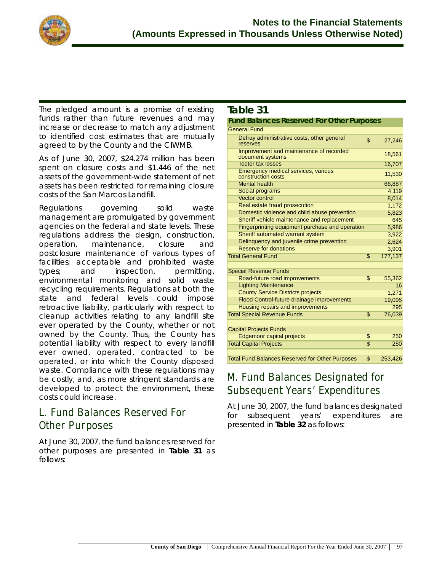

The pledged amount is a promise of existing funds rather than future revenues and may increase or decrease to match any adjustment to identified cost estimates that are mutually agreed to by the County and the CIWMB.

As of June 30, 2007, \$24.274 million has been spent on closure costs and \$1.446 of the net assets of the government-wide statement of net assets has been restricted for remaining closure costs of the San Marcos Landfill.

Regulations governing solid waste management are promulgated by government agencies on the federal and state levels. These regulations address the design, construction, operation, maintenance, closure and postclosure maintenance of various types of facilities; acceptable and prohibited waste types; and inspection, permitting, environmental monitoring and solid waste recycling requirements. Regulations at both the state and federal levels could impose retroactive liability, particularly with respect to cleanup activities relating to any landfill site ever operated by the County, whether or not owned by the County. Thus, the County has potential liability with respect to every landfill ever owned, operated, contracted to be operated, or into which the County disposed waste. Compliance with these regulations may be costly, and, as more stringent standards are developed to protect the environment, these costs could increase.

## **L. Fund Balances Reserved For Other Purposes**

At June 30, 2007, the fund balances reserved for other purposes are presented in **Table 31** as follows:

## **Table 31**

| <b>Fund Balances Reserved For Other Purposes</b>                        |                         |         |
|-------------------------------------------------------------------------|-------------------------|---------|
| <b>General Fund</b>                                                     |                         |         |
| Defray administrative costs, other general<br>reserves                  | \$                      | 27.246  |
| Improvement and maintenance of recorded<br>document systems             |                         | 18,561  |
| <b>Teeter tax losses</b>                                                |                         | 16,707  |
| <b>Emergency medical services, various</b><br>construction costs        |                         | 11,530  |
| <b>Mental health</b>                                                    |                         | 66,887  |
| Social programs                                                         |                         | 4,119   |
| <b>Vector control</b>                                                   |                         | 8,014   |
| Real estate fraud prosecution                                           |                         | 1,172   |
| Domestic violence and child abuse prevention                            |                         | 5,823   |
| Sheriff vehicle maintenance and replacement                             |                         | 645     |
| Fingerprinting equipment purchase and operation                         |                         | 5,986   |
| Sheriff automated warrant system                                        |                         | 3,922   |
| Delinguency and juvenile crime prevention                               |                         | 2,624   |
| <b>Reserve for donations</b>                                            |                         | 3,901   |
| <b>Total General Fund</b>                                               | $\overline{\mathbb{S}}$ | 177,137 |
|                                                                         |                         |         |
| <b>Special Revenue Funds</b>                                            |                         |         |
| Road-future road improvements                                           | $\overline{\mathbb{S}}$ | 55,362  |
| <b>Lighting Maintenance</b><br><b>County Service Districts projects</b> |                         | 16      |
|                                                                         |                         | 1,271   |
| Flood Control-future drainage improvements                              |                         | 19,095  |
| <b>Housing repairs and improvements</b>                                 |                         | 295     |
| <b>Total Special Revenue Funds</b>                                      | \$                      | 76,039  |
| <b>Capital Projects Funds</b>                                           |                         |         |
| <b>Edgemoor capital projects</b>                                        | $\overline{\mathbb{S}}$ | 250     |
| <b>Total Capital Projects</b>                                           | $\overline{\mathbb{S}}$ | 250     |
|                                                                         |                         |         |
| <b>Total Fund Balances Reserved for Other Purposes</b>                  | \$                      | 253,426 |

## **M. Fund Balances Designated for Subsequent Years' Expenditures**

At June 30, 2007, the fund balances designated for subsequent years' expenditures are presented in **Table 32** as follows: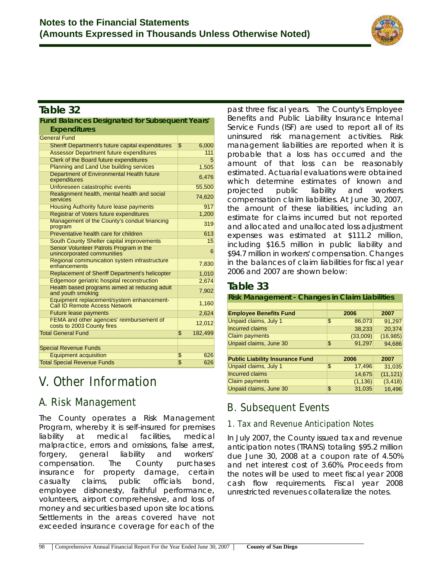

## **Table 32**

| <b>Fund Balances Designated for Subsequent Years'</b>                      |                                  |
|----------------------------------------------------------------------------|----------------------------------|
| <b>Expenditures</b>                                                        |                                  |
| <b>General Fund</b>                                                        |                                  |
| Sheriff Department's future capital expenditures                           | $\overline{\mathbf{S}}$<br>6,000 |
| <b>Assessor Department future expenditures</b>                             | 111                              |
| Clerk of the Board future expenditures                                     | 5                                |
| <b>Planning and Land Use building services</b>                             | 1,505                            |
| Department of Environmental Health future<br>expenditures                  | 6,476                            |
| Unforeseen catastrophic events                                             | 55,500                           |
| Realignment health, mental health and social<br>services                   | 74,620                           |
| Housing Authority future lease payments                                    | 917                              |
| Registrar of Voters future expenditures                                    | 1,200                            |
| Management of the County's conduit financing<br>program                    | 319                              |
| Preventative health care for children                                      | 613                              |
| South County Shelter capital improvements                                  | 15                               |
| Senior Volunteer Patrols Program in the<br>unincorporated communities      | 6                                |
| Regional communication system infrastructure<br>enhancements               | 7,830                            |
| <b>Replacement of Sheriff Department's helicopter</b>                      | 1,010                            |
| <b>Edgemoor geriatric hospital reconstruction</b>                          | 2,674                            |
| Health based programs aimed at reducing adult<br>and youth smoking         | 7,902                            |
| Equipment replacement/system enhancement-<br>Call ID Remote Access Network | 1,160                            |
| <b>Future lease payments</b>                                               | 2,624                            |
| FEMA and other agencies' reimbursement of<br>costs to 2003 County fires    | 12,012                           |
| <b>Total General Fund</b>                                                  | \$<br>182,499                    |
| <b>Special Revenue Funds</b>                                               |                                  |
| <b>Equipment acquisition</b>                                               | 626<br>\$                        |
| <b>Total Special Revenue Funds</b>                                         | $\overline{\mathbb{S}}$<br>626   |
|                                                                            |                                  |

# **V. Other Information**

## **A. Risk Management**

The County operates a Risk Management Program, whereby it is self-insured for premises liability at medical facilities, medical malpractice, errors and omissions, false arrest, forgery, general liability and workers' compensation. The County purchases insurance for property damage, certain casualty claims, public officials bond, employee dishonesty, faithful performance, volunteers, airport comprehensive, and loss of money and securities based upon site locations. Settlements in the areas covered have not exceeded insurance coverage for each of the

past three fiscal years. The County's Employee Benefits and Public Liability Insurance Internal Service Funds (ISF) are used to report all of its uninsured risk management activities. Risk management liabilities are reported when it is probable that a loss has occurred and the amount of that loss can be reasonably estimated. Actuarial evaluations were obtained which determine estimates of known and projected public liability and workers compensation claim liabilities. At June 30, 2007, the amount of these liabilities, including an estimate for claims incurred but not reported and allocated and unallocated loss adjustment expenses was estimated at \$111.2 million, including \$16.5 million in public liability and \$94.7 million in workers' compensation. Changes in the balances of claim liabilities for fiscal year 2006 and 2007 are shown below:

## **Table 33**

#### **Risk Management - Changes in Claim Liabilities**

| <b>Employee Benefits Fund</b>          | 2006         | 2007      |
|----------------------------------------|--------------|-----------|
| Unpaid claims, July 1                  | \$<br>86,073 | 91,297    |
| <b>Incurred claims</b>                 | 38,233       | 20,374    |
| <b>Claim payments</b>                  | (33,009)     | (16, 985) |
| Unpaid claims, June 30                 | \$<br>91,297 | 94,686    |
|                                        |              |           |
|                                        |              |           |
| <b>Public Liability Insurance Fund</b> | 2006         | 2007      |
| Unpaid claims, July 1                  | \$<br>17,496 | 31,035    |
| <b>Incurred claims</b>                 | 14,675       | (11, 121) |
| <b>Claim payments</b>                  | (1, 136)     | (3, 418)  |

## **B. Subsequent Events**

## **1. Tax and Revenue Anticipation Notes**

In July 2007, the County issued tax and revenue anticipation notes (TRANS) totaling \$95.2 million due June 30, 2008 at a coupon rate of 4.50% and net interest cost of 3.60%. Proceeds from the notes will be used to meet fiscal year 2008 cash flow requirements. Fiscal year 2008 unrestricted revenues collateralize the notes.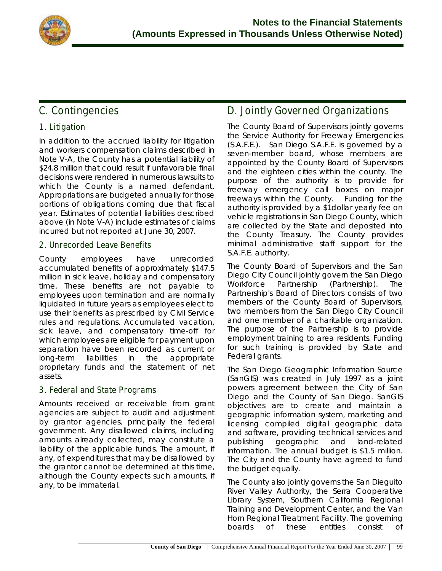

## **C. Contingencies**

## **1. Litigation**

In addition to the accrued liability for litigation and workers compensation claims described in Note V-A, the County has a potential liability of \$24.8 million that could result if unfavorable final decisions were rendered in numerous lawsuits to which the County is a named defendant. Appropriations are budgeted annually for those portions of obligations coming due that fiscal year. Estimates of potential liabilities described above (in Note V-A) include estimates of claims incurred but not reported at June 30, 2007.

### **2. Unrecorded Leave Benefits**

County employees have unrecorded accumulated benefits of approximately \$147.5 million in sick leave, holiday and compensatory time. These benefits are not payable to employees upon termination and are normally liquidated in future years as employees elect to use their benefits as prescribed by Civil Service rules and regulations. Accumulated vacation, sick leave, and compensatory time-off for which employees are eligible for payment upon separation have been recorded as current or long-term liabilities in the appropriate proprietary funds and the statement of net assets.

## **3. Federal and State Programs**

Amounts received or receivable from grant agencies are subject to audit and adjustment by grantor agencies, principally the federal government. Any disallowed claims, including amounts already collected, may constitute a liability of the applicable funds. The amount, if any, of expenditures that may be disallowed by the grantor cannot be determined at this time, although the County expects such amounts, if any, to be immaterial.

## **D. Jointly Governed Organizations**

The County Board of Supervisors jointly governs the Service Authority for Freeway Emergencies (S.A.F.E.). San Diego S.A.F.E. is governed by a seven-member board, whose members are appointed by the County Board of Supervisors and the eighteen cities within the county. The purpose of the authority is to provide for freeway emergency call boxes on major freeways within the County. Funding for the authority is provided by a \$1dollar yearly fee on vehicle registrations in San Diego County, which are collected by the State and deposited into the County Treasury. The County provides minimal administrative staff support for the S.A.F.E. authority.

The County Board of Supervisors and the San Diego City Council jointly govern the San Diego Workforce Partnership (Partnership). The Partnership's Board of Directors consists of two members of the County Board of Supervisors, two members from the San Diego City Council and one member of a charitable organization. The purpose of the Partnership is to provide employment training to area residents. Funding for such training is provided by State and Federal grants.

The San Diego Geographic Information Source (SanGIS) was created in July 1997 as a joint powers agreement between the City of San Diego and the County of San Diego. SanGIS objectives are to create and maintain a geographic information system, marketing and licensing compiled digital geographic data and software, providing technical services and publishing geographic and land-related information. The annual budget is \$1.5 million. The City and the County have agreed to fund the budget equally.

The County also jointly governs the San Dieguito River Valley Authority, the Serra Cooperative Library System, Southern California Regional Training and Development Center, and the Van Horn Regional Treatment Facility. The governing boards of these entities consist of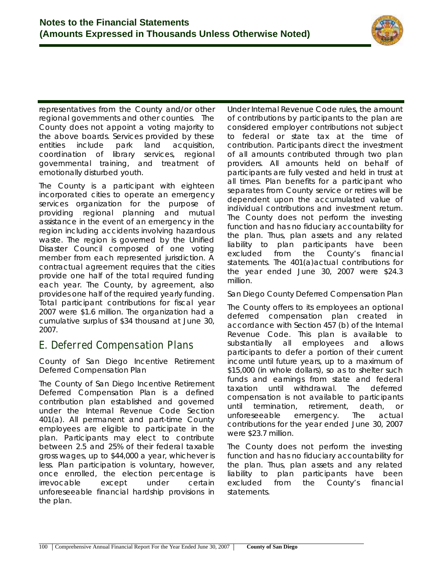

representatives from the County and/or other regional governments and other counties. The County does not appoint a voting majority to the above boards. Services provided by these entities include park land acquisition, coordination of library services, regional governmental training, and treatment of emotionally disturbed youth.

The County is a participant with eighteen incorporated cities to operate an emergency services organization for the purpose of providing regional planning and mutual assistance in the event of an emergency in the region including accidents involving hazardous waste. The region is governed by the Unified Disaster Council composed of one voting member from each represented jurisdiction. A contractual agreement requires that the cities provide one half of the total required funding each year. The County, by agreement, also provides one half of the required yearly funding. Total participant contributions for fiscal year 2007 were \$1.6 million. The organization had a cumulative surplus of \$34 thousand at June 30, 2007.

## **E. Deferred Compensation Plans**

County of San Diego Incentive Retirement Deferred Compensation Plan

The County of San Diego Incentive Retirement Deferred Compensation Plan is a defined contribution plan established and governed under the Internal Revenue Code Section 401(a). All permanent and part-time County employees are eligible to participate in the plan. Participants may elect to contribute between 2.5 and 25% of their federal taxable gross wages, up to \$44,000 a year, whichever is less. Plan participation is voluntary, however, once enrolled, the election percentage is irrevocable except under certain unforeseeable financial hardship provisions in the plan.

Under Internal Revenue Code rules, the amount of contributions by participants to the plan are considered employer contributions not subject to federal or state tax at the time of contribution. Participants direct the investment of all amounts contributed through two plan providers. All amounts held on behalf of participants are fully vested and held in trust at all times. Plan benefits for a participant who separates from County service or retires will be dependent upon the accumulated value of individual contributions and investment return. The County does not perform the investing function and has no fiduciary accountability for the plan. Thus, plan assets and any related liability to plan participants have been excluded from the County's financial statements. The 401(a)actual contributions for the year ended June 30, 2007 were \$24.3 million.

San Diego County Deferred Compensation Plan

The County offers to its employees an optional deferred compensation plan created in accordance with Section 457 (b) of the Internal Revenue Code. This plan is available to substantially all employees and allows participants to defer a portion of their current income until future years, up to a maximum of \$15,000 (in whole dollars), so as to shelter such funds and earnings from state and federal taxation until withdrawal. The deferred compensation is not available to participants until termination, retirement, death, or unforeseeable emergency. The actual contributions for the year ended June 30, 2007 were \$23.7 million.

The County does not perform the investing function and has no fiduciary accountability for the plan. Thus, plan assets and any related liability to plan participants have been excluded from the County's financial statements.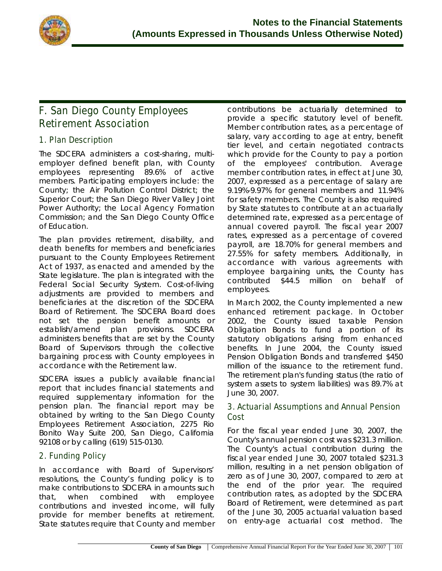

## **F. San Diego County Employees Retirement Association**

## **1. Plan Description**

The SDCERA administers a cost-sharing, multiemployer defined benefit plan, with County employees representing 89.6% of active members. Participating employers include: the County; the Air Pollution Control District; the Superior Court; the San Diego River Valley Joint Power Authority; the Local Agency Formation Commission; and the San Diego County Office of Education.

The plan provides retirement, disability, and death benefits for members and beneficiaries pursuant to the County Employees Retirement Act of 1937, as enacted and amended by the State legislature. The plan is integrated with the Federal Social Security System. Cost-of-living adjustments are provided to members and beneficiaries at the discretion of the SDCERA Board of Retirement. The SDCERA Board does not set the pension benefit amounts or establish/amend plan provisions. SDCERA administers benefits that are set by the County Board of Supervisors through the collective bargaining process with County employees in accordance with the Retirement law.

SDCERA issues a publicly available financial report that includes financial statements and required supplementary information for the pension plan. The financial report may be obtained by writing to the San Diego County Employees Retirement Association, 2275 Rio Bonito Way Suite 200, San Diego, California 92108 or by calling (619) 515-0130.

## **2. Funding Policy**

In accordance with Board of Supervisors' resolutions, the County's funding policy is to make contributions to SDCERA in amounts such that, when combined with employee contributions and invested income, will fully provide for member benefits at retirement. State statutes require that County and member contributions be actuarially determined to provide a specific statutory level of benefit. Member contribution rates, as a percentage of salary, vary according to age at entry, benefit tier level, and certain negotiated contracts which provide for the County to pay a portion of the employees' contribution. Average member contribution rates, in effect at June 30, 2007, expressed as a percentage of salary are 9.19%-9.97% for general members and 11.94% for safety members. The County is also required by State statutes to contribute at an actuarially determined rate, expressed as a percentage of annual covered payroll. The fiscal year 2007 rates, expressed as a percentage of covered payroll, are 18.70% for general members and 27.55% for safety members. Additionally, in accordance with various agreements with employee bargaining units, the County has contributed \$44.5 million on behalf of employees.

In March 2002, the County implemented a new enhanced retirement package. In October 2002, the County issued taxable Pension Obligation Bonds to fund a portion of its statutory obligations arising from enhanced benefits. In June 2004, the County issued Pension Obligation Bonds and transferred \$450 million of the issuance to the retirement fund. The retirement plan's funding status (the ratio of system assets to system liabilities) was 89.7% at June 30, 2007.

## **3. Actuarial Assumptions and Annual Pension Cost**

For the fiscal year ended June 30, 2007, the County's annual pension cost was \$231.3 million. The County's actual contribution during the fiscal year ended June 30, 2007 totaled \$231.3 million, resulting in a net pension obligation of zero as of June 30, 2007, compared to zero at the end of the prior year. The required contribution rates, as adopted by the SDCERA Board of Retirement, were determined as part of the June 30, 2005 actuarial valuation based on entry-age actuarial cost method. The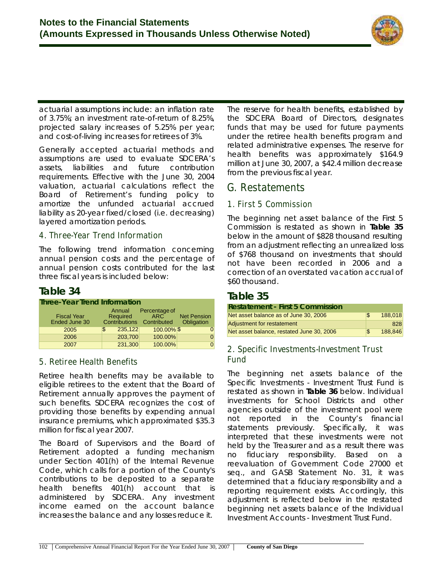

actuarial assumptions include: an inflation rate of 3.75%; an investment rate-of-return of 8.25%, projected salary increases of 5.25% per year; and cost-of-living increases for retirees of 3%.

Generally accepted actuarial methods and assumptions are used to evaluate SDCERA's assets, liabilities and future contribution requirements. Effective with the June 30, 2004 valuation, actuarial calculations reflect the Board of Retirement's funding policy to amortize the unfunded actuarial accrued liability as 20-year fixed/closed (i.e. decreasing) layered amortization periods.

### **4. Three-Year Trend Information**

The following trend information concerning annual pension costs and the percentage of annual pension costs contributed for the last three fiscal years is included below:

## **Table 34**

| <b>Three-Year Trend Information</b> |                                            |                                                  |                                  |
|-------------------------------------|--------------------------------------------|--------------------------------------------------|----------------------------------|
| <b>Fiscal Year</b><br>Ended June 30 | Annual<br>Required<br><b>Contributions</b> | Percentage of<br>ARC <sup>-</sup><br>Contributed | <b>Net Pension</b><br>Obligation |
| 2005                                | 235,122<br>\$                              | 100.00% \$                                       |                                  |
| 2006                                | 203,700                                    | 100.00%                                          |                                  |
| 2007                                | 231,300                                    | 100.00%                                          |                                  |

## **5. Retiree Health Benefits**

Retiree health benefits may be available to eligible retirees to the extent that the Board of Retirement annually approves the payment of such benefits. SDCERA recognizes the cost of providing those benefits by expending annual insurance premiums, which approximated \$35.3 million for fiscal year 2007.

The Board of Supervisors and the Board of Retirement adopted a funding mechanism under Section 401(h) of the Internal Revenue Code, which calls for a portion of the County's contributions to be deposited to a separate health benefits 401(h) account that is administered by SDCERA. Any investment income earned on the account balance increases the balance and any losses reduce it.

The reserve for health benefits, established by the SDCERA Board of Directors, designates funds that may be used for future payments under the retiree health benefits program and related administrative expenses. The reserve for health benefits was approximately \$164.9 million at June 30, 2007, a \$42.4 million decrease from the previous fiscal year.

## **G. Restatements**

## **1. First 5 Commission**

The beginning net asset balance of the First 5 Commission is restated as shown in **Table 35** below in the amount of \$828 thousand resulting from an adjustment reflecting an unrealized loss of \$768 thousand on investments that should not have been recorded in 2006 and a correction of an overstated vacation accrual of \$60 thousand.

## **Table 35**

| <b>Restatement - First 5 Commission</b>   |     |         |
|-------------------------------------------|-----|---------|
| Net asset balance as of June 30, 2006     | \$. | 188,018 |
| Adjustment for restatement                |     | 828     |
| Net asset balance, restated June 30, 2006 | \$  | 188,846 |

## **2. Specific Investments-Investment Trust Fund**

The beginning net assets balance of the Specific Investments - Investment Trust Fund is restated as shown in **Table 36** below. Individual investments for School Districts and other agencies outside of the investment pool were not reported in the County's financial statements previously. Specifically, it was interpreted that these investments were not held by the Treasurer and as a result there was no fiduciary responsibility. Based on a reevaluation of Government Code 27000 et seq., and GASB Statement No. 31, it was determined that a fiduciary responsibility and a reporting requirement exists. Accordingly, this adjustment is reflected below in the restated beginning net assets balance of the Individual Investment Accounts - Investment Trust Fund.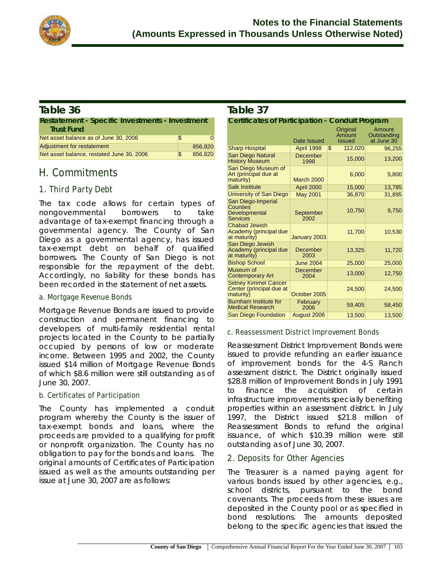

## **Table 36**

| <b>Restatement - Specific Investments - Investment</b><br><b>Trust Fund</b> |     |         |
|-----------------------------------------------------------------------------|-----|---------|
| Net asset balance as of June 30, 2006                                       | S   | 0       |
| Adjustment for restatement                                                  |     | 856,820 |
| Net asset balance, restated June 30, 2006                                   | \$. | 856,820 |

## **H. Commitments**

## **1. Third Party Debt**

The tax code allows for certain types of nongovernmental borrowers to take advantage of tax-exempt financing through a governmental agency. The County of San Diego as a governmental agency, has issued tax-exempt debt on behalf of qualified borrowers. The County of San Diego is not responsible for the repayment of the debt. Accordingly, no liability for these bonds has been recorded in the statement of net assets.

### **a. Mortgage Revenue Bonds**

Mortgage Revenue Bonds are issued to provide construction and permanent financing to developers of multi-family residential rental projects located in the County to be partially occupied by persons of low or moderate income. Between 1995 and 2002, the County issued \$14 million of Mortgage Revenue Bonds of which \$8.6 million were still outstanding as of June 30, 2007.

## **b. Certificates of Participation**

The County has implemented a conduit program whereby the County is the issuer of tax-exempt bonds and loans, where the proceeds are provided to a qualifying for profit or nonprofit organization. The County has no obligation to pay for the bonds and loans. The original amounts of Certificates of Participation issued as well as the amounts outstanding per issue at June 30, 2007 are as follows:

## **Table 37**

| <b>Certificates of Participation - Conduit Program</b>               |                   |                                            |                                     |
|----------------------------------------------------------------------|-------------------|--------------------------------------------|-------------------------------------|
|                                                                      | Date Issued       | Original<br><b>Amount</b><br><b>Issued</b> | Amount<br>Outstanding<br>at June 30 |
| <b>Sharp Hospital</b>                                                | <b>April 1998</b> | 112.020<br>\$                              | 96,255                              |
| <b>San Diego Natural</b><br><b>History Museum</b>                    | December<br>1998  | 15,000                                     | 13,200                              |
| San Diego Museum of<br>Art (principal due at<br>maturity)            | <b>March 2000</b> | 6,000                                      | 5,800                               |
| <b>Salk Institute</b>                                                | April 2000        | 15,000                                     | 13,785                              |
| University of San Diego                                              | <b>May 2001</b>   | 36,870                                     | 31,895                              |
| San Diego-Imperial<br>Counties<br>Developmental<br>Services          | September<br>2002 | 10.750                                     | 9,750                               |
| <b>Chabad Jewish</b><br>Academy (principal due<br>at maturity)       | January 2003      | 11,700                                     | 10,530                              |
| San Diego Jewish<br>Academy (principal due<br>at maturity)           | December<br>2003  | 13,325                                     | 11.720                              |
| <b>Bishop School</b>                                                 | <b>June 2004</b>  | 25,000                                     | 25,000                              |
| Museum of<br><b>Contemporary Art</b>                                 | December<br>2004  | 13,000                                     | 12,750                              |
| <b>Sidney Kimmel Cancer</b><br>Center (principal due at<br>maturity) | October 2005      | 24,500                                     | 24,500                              |
| <b>Burnham Institute for</b><br><b>Medical Research</b>              | February<br>2006  | 59,405                                     | 58,450                              |
| <b>San Diego Foundation</b>                                          | August 2006       | 13,500                                     | 13,500                              |

### **c. Reassessment District Improvement Bonds**

Reassessment District Improvement Bonds were issued to provide refunding an earlier issuance of improvement bonds for the 4-S Ranch assessment district. The District originally issued \$28.8 million of Improvement Bonds in July 1991 to finance the acquisition of certain infrastructure improvements specially benefiting properties within an assessment district. In July 1997, the District issued \$21.8 million of Reassessment Bonds to refund the original issuance, of which \$10.39 million were still outstanding as of June 30, 2007.

## **2. Deposits for Other Agencies**

The Treasurer is a named paying agent for various bonds issued by other agencies, e.g., school districts, pursuant to the bond covenants. The proceeds from these issues are deposited in the County pool or as specified in bond resolutions. The amounts deposited belong to the specific agencies that issued the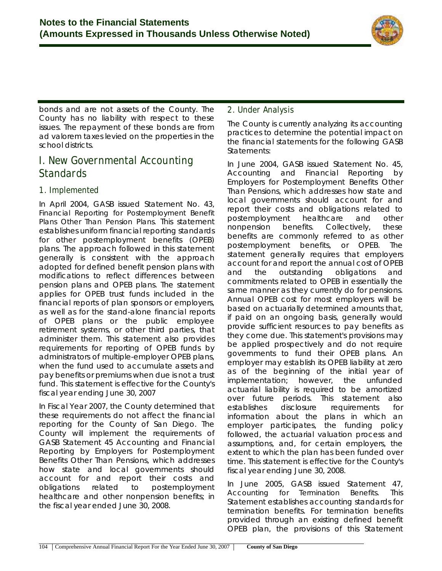

bonds and are not assets of the County. The County has no liability with respect to these issues. The repayment of these bonds are from ad valorem taxes levied on the properties in the school districts.

## **I. New Governmental Accounting Standards**

## **1. Implemented**

In April 2004, GASB issued Statement No. 43, *Financial Reporting for Postemployment Benefit Plans Other Than Pension Plans.* This statement establishes uniform financial reporting standards for other postemployment benefits (OPEB) plans. The approach followed in this statement generally is consistent with the approach adopted for defined benefit pension plans with modifications to reflect differences between pension plans and OPEB plans. The statement applies for OPEB trust funds included in the financial reports of plan sponsors or employers, as well as for the stand-alone financial reports of OPEB plans or the public employee retirement systems, or other third parties, that administer them. This statement also provides requirements for reporting of OPEB funds by administrators of multiple-employer OPEB plans, when the fund used to accumulate assets and pay benefits or premiums when due is not a trust fund. This statement is effective for the County's fiscal year ending June 30, 2007

In Fiscal Year 2007, the County determined that these requirements do not affect the financial reporting for the County of San Diego. The County will implement the requirements of GASB Statement 45 *Accounting and Financial Reporting by Employers for Postemployment Benefits Other Than Pensions*, which addresses how state and local governments should account for and report their costs and obligations related to postemployment healthcare and other nonpension benefits; in the fiscal year ended June 30, 2008.

## **2. Under Analysis**

The County is currently analyzing its accounting practices to determine the potential impact on the financial statements for the following GASB Statements:

In June 2004, GASB issued Statement No. 45, *Accounting and Financial Reporting by Employers for Postemployment Benefits Other Than Pensions*, which addresses how state and local governments should account for and report their costs and obligations related to postemployment healthcare and other nonpension benefits. Collectively, these benefits are commonly referred to as other postemployment benefits, or OPEB. The statement generally requires that employers account for and report the annual cost of OPEB and the outstanding obligations and commitments related to OPEB in essentially the same manner as they currently do for pensions. Annual OPEB cost for most employers will be based on actuarially determined amounts that, if paid on an ongoing basis, generally would provide sufficient resources to pay benefits as they come due. This statement's provisions may be applied prospectively and do not require governments to fund their OPEB plans. An employer may establish its OPEB liability at zero as of the beginning of the initial year of implementation; however, the unfunded actuarial liability is required to be amortized over future periods. This statement also establishes disclosure requirements for information about the plans in which an employer participates, the funding policy followed, the actuarial valuation process and assumptions, and, for certain employers, the extent to which the plan has been funded over time. This statement is effective for the County's fiscal year ending June 30, 2008.

In June 2005, GASB issued Statement 47, *Accounting for Termination Benefits*. This Statement establishes accounting standards for termination benefits. For termination benefits provided through an existing defined benefit OPEB plan, the provisions of this Statement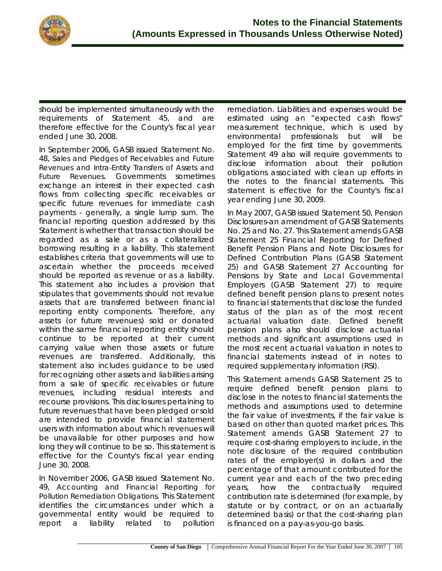

should be implemented simultaneously with the requirements of Statement 45, and are therefore effective for the County's fiscal year ended June 30, 2008.

In September 2006, GASB issued Statement No. 48, *Sales and Pledges of Receivables and Future Revenues and Intra-Entity Transfers of Assets and Future Revenues*. Governments sometimes exchange an interest in their expected cash flows from collecting specific receivables or specific future revenues for immediate cash payments - generally, a single lump sum. The financial reporting question addressed by this Statement is whether that transaction should be regarded as a sale or as a collateralized borrowing resulting in a liability. This statement establishes criteria that governments will use to ascertain whether the proceeds received should be reported as revenue or as a liability. This statement also includes a provision that stipulates that governments should not revalue assets that are transferred between financial reporting entity components. Therefore, any assets (or future revenues) sold or donated within the same financial reporting entity should continue to be reported at their current carrying value when those assets or future revenues are transferred. Additionally, this statement also includes guidance to be used for recognizing other assets and liabilities arising from a sale of specific receivables or future revenues, including residual interests and recourse provisions. This disclosures pertaining to future revenues that have been pledged or sold are intended to provide financial statement users with information about which revenues will be unavailable for other purposes and how long they will continue to be so. This statement is effective for the County's fiscal year ending June 30, 2008.

In November 2006, GASB issued Statement No. 49, *Accounting and Financial Reporting for Pollution Remediation Obligations.* This Statement identifies the circumstances under which a governmental entity would be required to report a liability related to pollution

remediation. Liabilities and expenses would be estimated using an "expected cash flows" measurement technique, which is used by environmental professionals but will be employed for the first time by governments. Statement 49 also will require governments to disclose information about their pollution obligations associated with clean up efforts in the notes to the financial statements. This statement is effective for the County's fiscal year ending June 30, 2009.

In May 2007, GASB issued Statement 50, Pension Disclosures-an amendment of GASB Statements No. 25 and No. 27. This Statement amends GASB Statement 25 Financial Reporting for Defined Benefit Pension Plans and Note Disclosures for Defined Contribution Plans (GASB Statement 25) and GASB Statement 27 Accounting for Pensions by State and Local Governmental Employers (GASB Statement 27) to require defined benefit pension plans to present notes to financial statements that disclose the funded status of the plan as of the most recent actuarial valuation date. Defined benefit pension plans also should disclose actuarial methods and significant assumptions used in the most recent actuarial valuation in notes to financial statements instead of in notes to required supplementary information (RSI).

This Statement amends GASB Statement 25 to require defined benefit pension plans to disclose in the notes to financial statements the methods and assumptions used to determine the fair value of investments, if the fair value is based on other than quoted market prices. This Statement amends GASB Statement 27 to require cost-sharing employers to include, in the note disclosure of the required contribution rates of the employer(s) in dollars and the percentage of that amount contributed for the current year and each of the two preceding years, how the contractually required contribution rate is determined (for example, by statute or by contract, or on an actuarially determined basis) or that the cost-sharing plan is financed on a pay-as-you-go basis.